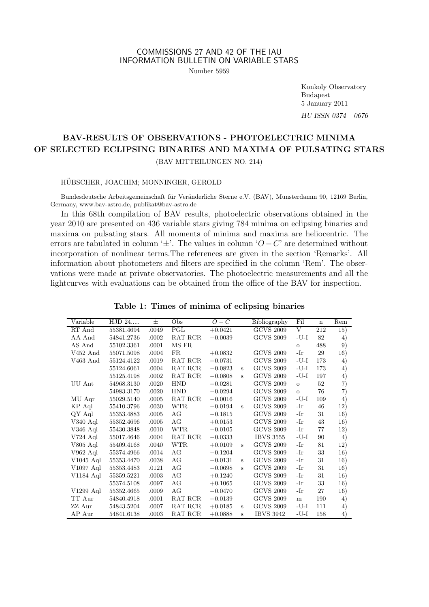# COMMISSIONS 27 AND 42 OF THE IAU INFORMATION BULLETIN ON VARIABLE STARS

Number 5959

Konkoly Observatory Budapest 5 January 2011 HU ISSN 0374 – 0676

## BAV-RESULTS OF OBSERVATIONS - PHOTOELECTRIC MINIMA OF SELECTED ECLIPSING BINARIES AND MAXIMA OF PULSATING STARS (BAV MITTEILUNGEN NO. 214)

#### HÜBSCHER, JOACHIM; MONNINGER, GEROLD

Bundesdeutsche Arbeitsgemeinschaft für Veränderliche Sterne e.V. (BAV), Munsterdamm 90, 12169 Berlin, Germany, www.bav-astro.de, publikat@bav-astro.de

In this 68th compilation of BAV results, photoelectric observations obtained in the year 2010 are presented on 436 variable stars giving 784 minima on eclipsing binaries and maxima on pulsating stars. All moments of minima and maxima are heliocentric. The errors are tabulated in column ' $\pm$ '. The values in column 'O – C' are determined without incorporation of nonlinear terms.The references are given in the section 'Remarks'. All information about photometers and filters are specified in the column 'Rem'. The observations were made at private observatories. The photoelectric measurements and all the lightcurves with evaluations can be obtained from the office of the BAV for inspection.

| Variable    | HJD 24     | $_{\pm}$ | Obs        | $O-C$     |   | Bibliography     | Fil     | $\mathbf n$ | Rem |
|-------------|------------|----------|------------|-----------|---|------------------|---------|-------------|-----|
| RT And      | 55381.4694 | .0049    | PGL        | $+0.0421$ |   | <b>GCVS 2009</b> | V       | 212         | 15) |
| AA And      | 54841.2736 | .0002    | RAT RCR    | $-0.0039$ |   | <b>GCVS 2009</b> | $-U-I$  | 82          | 4)  |
| AS And      | 55102.3361 | .0001    | MS FR      |           |   |                  | $\circ$ | 488         | 9)  |
| $V452$ And  | 55071.5098 | .0004    | FR.        | $+0.0832$ |   | <b>GCVS 2009</b> | -Ir     | 29          | 16) |
| V463 And    | 55124.4122 | .0019    | RAT RCR    | $-0.0731$ |   | <b>GCVS 2009</b> | $-U-I$  | 173         | 4)  |
|             | 55124.6061 | .0004    | RAT RCR    | $-0.0823$ | s | <b>GCVS 2009</b> | $-U-I$  | 173         | 4)  |
|             | 55125.4198 | .0002    | RAT RCR    | $-0.0808$ | s | <b>GCVS 2009</b> | $-U-I$  | 197         | 4)  |
| UU Ant      | 54968.3130 | .0020    | <b>HND</b> | $-0.0281$ |   | <b>GCVS 2009</b> | $\circ$ | 52          | 7)  |
|             | 54983.3170 | .0020    | <b>HND</b> | $-0.0294$ |   | <b>GCVS 2009</b> | $\circ$ | 76          | 7)  |
| MU Aqr      | 55029.5140 | .0005    | RAT RCR    | $-0.0016$ |   | <b>GCVS 2009</b> | $-U-I$  | 109         | 4)  |
| KP Aql      | 55410.3796 | .0030    | <b>WTR</b> | $-0.0194$ | s | <b>GCVS 2009</b> | -Ir     | 46          | 12) |
| QY Aql      | 55353.4883 | .0005    | AG         | $-0.1815$ |   | <b>GCVS 2009</b> | -Ir     | 31          | 16) |
| $V340$ Aql  | 55352.4696 | .0005    | AG         | $+0.0153$ |   | <b>GCVS 2009</b> | -Ir     | 43          | 16) |
| V346 Aql    | 55430.3848 | .0010    | <b>WTR</b> | $-0.0105$ |   | <b>GCVS 2009</b> | -Ir     | 77          | 12) |
| $V724$ Aql  | 55017.4646 | .0004    | RAT RCR    | $-0.0333$ |   | <b>IBVS 3555</b> | $-U-I$  | 90          | 4)  |
| $V805$ Aql  | 55409.4168 | .0040    | <b>WTR</b> | $+0.0109$ | s | <b>GCVS 2009</b> | -Ir     | 81          | 12) |
| V962 Aql    | 55374.4966 | .0014    | AG         | $-0.1204$ |   | <b>GCVS 2009</b> | -Ir     | 33          | 16) |
| $V1045$ Aql | 55353.4470 | .0038    | AG         | $-0.0131$ | s | <b>GCVS 2009</b> | -Ir     | 31          | 16) |
| $V1097$ Aql | 55353.4483 | .0121    | AG         | $-0.0698$ | s | <b>GCVS 2009</b> | -Ir     | 31          | 16) |
| V1184 Aql   | 55359.5221 | .0003    | AG         | $+0.1240$ |   | <b>GCVS 2009</b> | -Ir     | 31          | 16) |
|             | 55374.5108 | .0097    | AG         | $+0.1065$ |   | <b>GCVS 2009</b> | -Ir     | 33          | 16) |
| $V1299$ Aql | 55352.4665 | .0009    | AG         | $-0.0470$ |   | <b>GCVS 2009</b> | -Ir     | 27          | 16) |
| TT Aur      | 54840.4918 | .0001    | RAT RCR    | $-0.0139$ |   | <b>GCVS 2009</b> | m       | 190         | 4)  |
| ZZ Aur      | 54843.5204 | .0007    | RAT RCR    | $+0.0185$ | s | <b>GCVS 2009</b> | $-U-I$  | 111         | 4)  |
| AP Aur      | 54841.6138 | .0003    | RAT RCR    | $+0.0888$ | Ś | <b>IBVS 3942</b> | $-U-I$  | 158         | 4)  |

Table 1: Times of minima of eclipsing binaries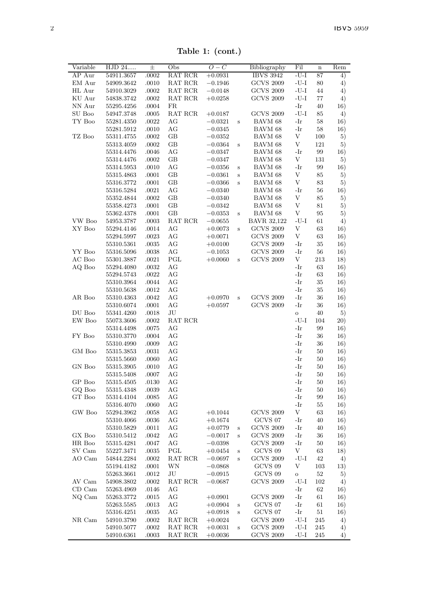Table 1: (cont.)

| Variable   | $\overline{\mathrm{HJD}}$ 24 | $\pm$          | Obs      | $O-C$     |         | Bibliography       | Fil                       | $\bf n$  | Rem         |
|------------|------------------------------|----------------|----------|-----------|---------|--------------------|---------------------------|----------|-------------|
| AP Aur     | 54911.3657                   | .0002          | RAT RCR  | $+0.0931$ |         | <b>IBVS 3942</b>   | $-U-I$                    | 87       | 4)          |
| EM Aur     | 54909.3642                   | .0010          | RAT RCR  | $-0.1946$ |         | <b>GCVS 2009</b>   | $-U-I$                    | 80       | 4)          |
| HL Aur     | 54910.3029                   | $.0002\,$      | RAT RCR  | $-0.0148$ |         | <b>GCVS 2009</b>   | $\mathbf{-U}\mathbf{-I}$  | 44       | 4)          |
| KU Aur     | 54838.3742                   | $.0002\,$      | RAT RCR  | $+0.0258$ |         | <b>GCVS 2009</b>   | $-U-I$                    | 77       | 4)          |
| NN Aur     | 55295.4256                   | .0004          | FR.      |           |         |                    | -Ir                       | 40       | 16)         |
| SU Boo     | 54947.3748                   | .0005          | RAT RCR  | $+0.0187$ |         | <b>GCVS 2009</b>   | $-U-I$                    | 85       | 4)          |
| TY Boo     | 55281.4350                   | .0022          | AG       | $-0.0321$ | s       | BAVM 68            | -Ir                       | 58       | 16)         |
|            | 55281.5912                   | .0010          | AG       | $-0.0345$ |         | BAVM 68            | -Ir                       | 58       | 16)         |
| TZ Boo     | 55311.4755                   | .0002          | GB       | $-0.0352$ |         | BAVM 68            | V                         | 100      | 5)          |
|            | 55313.4059                   | .0002          | GВ       | $-0.0364$ | s       | BAVM 68            | V                         | 121      | 5)          |
|            | 55314.4476                   | .0046          | АG       | $-0.0347$ |         | BAVM 68            | -Ir                       | 99       | 16)         |
|            | 55314.4476                   | .0002          | GB       | $-0.0347$ |         | BAVM 68            | $\ensuremath{\mathbf{V}}$ | 131      | 5)          |
|            | 55314.5953                   | .0010          | AG       | $-0.0356$ | S       | BAVM 68            | -Ir                       | 99       | 16)         |
|            | 55315.4863                   | .0001          | GB       | $-0.0361$ | S       | BAVM 68            | V                         | 85       | 5)          |
|            | 55316.3772                   | .0001          | GB       | $-0.0366$ | S       | BAVM 68            | V                         | 83       | 5)          |
|            | 55316.5284                   | .0021          | AG       | $-0.0340$ |         | BAVM 68            | $-Ir$                     | 56       | 16)         |
|            | 55352.4844                   | .0002          | GB       | $-0.0340$ |         | BAVM 68            | V                         | 85       | 5)          |
|            | 55358.4273                   | .0001          | GB       | $-0.0342$ |         | BAVM 68            | V                         | 81       | 5)          |
|            | 55362.4378                   | .0001          | GВ       | $-0.0353$ | Ś       | BAVM 68            | V                         | 95       | 5)          |
| VW Boo     | 54953.3787                   | .0003          | RAT RCR  | $-0.0655$ |         | <b>BAVR 32,122</b> | $-U-I$                    | 61       | $^{4)}$     |
| XY Boo     | 55294.4146                   | .0014          | AG       | $+0.0073$ | $\,$ s  | <b>GCVS 2009</b>   | V                         | 63       | 16)         |
|            | 55294.5997                   | .0023          | AG       | $+0.0071$ |         | <b>GCVS 2009</b>   | V                         | 63       | 16)         |
|            | 55310.5361                   | .0035          | AG       | $+0.0100$ |         | <b>GCVS 2009</b>   | -Ir                       | 35       | 16)         |
| YY Boo     | 55316.5096                   | .0038          | AG       | $-0.1053$ |         | <b>GCVS 2009</b>   | -Ir                       | 56       | 16)         |
| AC Boo     | 55301.3887                   | .0021          | PGL      | $+0.0060$ | s       | <b>GCVS 2009</b>   | V                         | 213      | 18)         |
| AQ Boo     | 55294.4080                   | $.0032\,$      | AG       |           |         |                    | -Ir                       | 63       | 16)         |
|            | 55294.5743                   | $.0022\,$      | AG       |           |         |                    | $-Ir$                     | 63       | 16)         |
|            | 55310.3964                   | .0044          | AG       |           |         |                    | -Ir                       | 35       | 16)         |
|            | 55310.5638                   | .0012          | AG       |           |         |                    | -Ir                       | 35       | 16)         |
| AR Boo     | 55310.4363                   | .0042          | AG       | $+0.0970$ | s       | <b>GCVS 2009</b>   | -Ir                       | 36       | 16)         |
|            | 55310.6074                   | .0001          | AG       | $+0.0597$ |         | <b>GCVS 2009</b>   | -Ir                       | 36       | 16)         |
| DU Boo     | 55341.4260                   | .0018          | JU       |           |         |                    | $\circ$                   | 40       | 5)          |
| EW Boo     | 55073.3606                   | .0002          | RAT RCR  |           |         |                    | $-U-I$                    | 104      | <b>20</b> ) |
|            | 55314.4498                   | .0075          | AG       |           |         |                    | -Ir                       | 99       | 16)         |
| FY Boo     | 55310.3770                   | .0004          | AG       |           |         |                    | -Ir                       | 36       | 16)         |
|            | 55310.4990                   | .0009          | AG       |           |         |                    | -Ir                       | 36       | 16)         |
| GM Boo     | 55315.3853                   | .0031          | AG       |           |         |                    | -Ir<br>-Ir                | 50       | 16)         |
| GN Boo     | 55315.5660                   | .0060          | AG<br>AG |           |         |                    | -Ir                       | 50<br>50 | 16)         |
|            | 55315.3905<br>55315.5408     | .0010<br>.0007 | AG       |           |         |                    | -Ir                       | 50       | 16)         |
| GP Boo     |                              |                |          |           |         |                    | -Ir                       | 50       | 16)         |
| GQ Boo     | 55315.4505<br>55315.4348     | .0130<br>.0039 | AG<br>AG |           |         |                    | -Ir                       | 50       | 16)<br>16)  |
| GT Boo     | 55314.4104                   | .0085          | AG       |           |         |                    | -Ir                       | 99       | 16)         |
|            | 55316.4070                   | .0060          | AG       |           |         |                    | -Ir                       | 55       | 16)         |
| GW Boo     | 55294.3962                   | .0058          | AG       | $+0.1044$ |         | <b>GCVS 2009</b>   | V                         | 63       | 16)         |
|            | 55310.4066                   | .0036          | AG       | $+0.1674$ |         | GCVS 07            | -Ir                       | 40       | 16)         |
|            | 55310.5829                   | .0011          | AG       | $+0.0779$ | s       | <b>GCVS 2009</b>   | -Ir                       | 40       | 16)         |
| GX Boo     | 55310.5412                   | .0042          | AG       | $-0.0017$ | s       | <b>GCVS 2009</b>   | -Ir                       | 36       | 16)         |
| HR Boo     | 55315.4281                   | .0047          | AG       | $-0.0398$ |         | <b>GCVS 2009</b>   | -Ir                       | 50       | 16)         |
| SV Cam     | 55227.3471                   | .0035          | PGL      | $+0.0454$ | s       | GCVS 09            | V                         | 63       | 18)         |
| AO Cam     | 54844.2284                   | .0002          | RAT RCR  | $-0.0697$ | s       | <b>GCVS 2009</b>   | $-U-I$                    | 42       | 4)          |
|            | 55194.4182                   | .0001          | WN       | $-0.0868$ |         | GCVS 09            | V                         | 103      | 13)         |
|            | 55263.3661                   | .0012          | JU       | $-0.0915$ |         | GCVS 09            | $\circ$                   | $52\,$   | 5)          |
| AV Cam     | 54908.3802                   | .0002          | RAT RCR  | $-0.0687$ |         | <b>GCVS 2009</b>   | $-U-I$                    | 102      | 4)          |
| $CD$ $Cam$ | 55263.4969                   | .0146          | AG       |           |         |                    | -Ir                       | 62       | 16)         |
| NQ Cam     | 55263.3772                   | .0015          | AG       | $+0.0901$ |         | <b>GCVS 2009</b>   | -Ir                       | 61       | 16)         |
|            | 55263.5585                   | .0013          | AG       | $+0.0904$ | $\,$ s  | GCVS 07            | -Ir                       | 61       | 16)         |
|            | 55316.4251                   | .0035          | AG       | $+0.0918$ | $\bf s$ | GCVS 07            | -Ir                       | 51       | 16)         |
| NR Cam     | 54910.3790                   | .0002          | RAT RCR  | $+0.0024$ |         | <b>GCVS 2009</b>   | $-U-I$                    | 245      | 4)          |
|            | 54910.5077                   | .0002          | RAT RCR  | $+0.0031$ | Ś       | <b>GCVS 2009</b>   | $-U-I$                    | 245      | 4)          |
|            | 54910.6361                   | .0003          | RAT RCR  | $+0.0036$ |         | <b>GCVS 2009</b>   | $-U-I$                    | 245      | 4)          |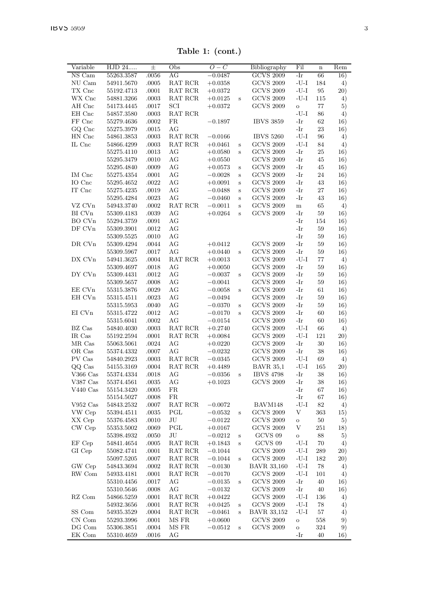Table 1: (cont.)

| Variable                   | HJD 24     | 士     | Obs                                       | $\overline{O}-C$ |              | Bibliography       | Fil        | $\mathbf n$ | Rem  |
|----------------------------|------------|-------|-------------------------------------------|------------------|--------------|--------------------|------------|-------------|------|
| NS Cam                     | 55263.3587 | .0056 | AG                                        | $-0.0487$        |              | <b>GCVS 2009</b>   | -Ir        | 66          | 16)  |
| NU Cam                     | 54911.5670 | .0005 | RAT RCR                                   | $+0.0358$        |              | <b>GCVS 2009</b>   | $-U-I$     | 184         | 4)   |
| TX Cnc                     | 55192.4713 | .0001 | RAT RCR                                   | $+0.0372$        |              | <b>GCVS 2009</b>   | $-U-I$     | 95          | (20) |
| WX Cnc                     | 54881.3266 | .0003 | RAT RCR                                   | $+0.0125$        | Ś            | <b>GCVS 2009</b>   | $-U-I$     | 115         | 4)   |
| AH Cnc                     | 54173.4445 | .0017 | SCI                                       | $+0.0372$        |              | <b>GCVS 2009</b>   | $\circ$    | 77          | 5)   |
| EH Cnc                     | 54857.3580 | .0003 | RAT RCR                                   |                  |              |                    | $-U-I$     | 86          | 4)   |
| FF Cnc                     | 55279.4636 | .0002 | FR.                                       | $-0.1897$        |              | <b>IBVS 3859</b>   | $-Ir$      | 62          | 16)  |
| GO Cnc                     | 55275.3979 | .0015 | AG                                        |                  |              |                    | -Ir        | 23          | 16)  |
| HN Cnc                     | 54861.3853 | .0003 | RAT RCR                                   | $-0.0166$        |              | <b>IBVS 5260</b>   | $-U-I$     | 96          | 4)   |
| IL Cnc                     | 54866.4299 | .0003 | RAT RCR                                   | $+0.0461$        | $\,$ s       | <b>GCVS 2009</b>   | $-U-I$     | 84          | 4)   |
|                            | 55275.4110 | .0013 | AG                                        | $+0.0580$        | $\mathbf{s}$ | <b>GCVS 2009</b>   | $-Ir$      | 25          | 16)  |
|                            | 55295.3479 | .0010 | AG                                        | $+0.0550$        |              | <b>GCVS 2009</b>   | -Ir        | 45          | 16)  |
|                            | 55295.4840 | .0009 | AG                                        | $+0.0573$        | S            | <b>GCVS 2009</b>   | $-Ir$      | 45          | 16)  |
| IM Cnc                     | 55275.4354 | .0001 | AG                                        | $-0.0028$        | S            | <b>GCVS 2009</b>   | $-Ir$      | 24          | 16)  |
| IO Cnc                     | 55295.4652 | .0022 | AG                                        | $+0.0091$        | S            | <b>GCVS 2009</b>   | $-Ir$      | 43          | 16)  |
| IT Cnc                     | 55275.4235 | .0019 | AG                                        | $-0.0488$        | S            | <b>GCVS 2009</b>   | -Ir        | 27          | 16)  |
|                            | 55295.4284 | .0023 | AG                                        | $-0.0460$        | S            | <b>GCVS 2009</b>   | $-Ir$      | 43          | 16)  |
| VZ CVn                     | 54943.3740 | .0002 | RAT RCR                                   | $-0.0011$        | s            | <b>GCVS 2009</b>   | $\,$ m     | 65          | 4)   |
| BI CVn                     | 55309.4183 | .0039 | AG                                        | $+0.0264$        | Ś            | <b>GCVS 2009</b>   | -Ir        | 59          | 16)  |
| BO CVn                     | 55294.3759 | .0091 | AG                                        |                  |              |                    | -Ir        | 154         | 16)  |
| DF CVn                     | 55309.3901 | .0012 | AG                                        |                  |              |                    | $-Ir$      | 59          | 16)  |
|                            | 55309.5525 | .0010 | AG                                        |                  |              |                    | $-Ir$      | 59          | 16)  |
| DR CVn                     | 55309.4294 | .0044 | AG                                        | $+0.0412$        |              | <b>GCVS 2009</b>   | -Ir        | 59          | 16)  |
|                            | 55309.5967 | .0017 | AG                                        | $+0.0440$        | S            | <b>GCVS 2009</b>   | -Ir        | 59          | 16)  |
| DX CVn                     |            | .0004 | RAT RCR                                   |                  |              | <b>GCVS 2009</b>   | $-U-I$     | 77          |      |
|                            | 54941.3625 |       | AG                                        | $+0.0013$        |              |                    | $-Ir$      | 59          | 4)   |
|                            | 55309.4697 | .0018 |                                           | $+0.0050$        |              | <b>GCVS 2009</b>   | $-Ir$      | 59          | 16)  |
| DY CVn                     | 55309.4431 | .0012 | AG                                        | $-0.0037$        | S            | <b>GCVS 2009</b>   |            |             | 16)  |
|                            | 55309.5657 | .0008 | AG                                        | $-0.0041$        |              | <b>GCVS 2009</b>   | $-Ir$      | 59          | 16)  |
| EE CVn                     | 55315.3876 | .0029 | AG                                        | $-0.0058$        | S            | <b>GCVS 2009</b>   | $-Ir$      | 61          | 16)  |
| EH CVn                     | 55315.4511 | .0023 | AG                                        | $-0.0494$        |              | <b>GCVS 2009</b>   | $-Ir$      | 59          | 16)  |
|                            | 55315.5953 | .0040 | AG                                        | $-0.0370$        | S            | <b>GCVS 2009</b>   | -Ir        | 59          | 16)  |
| EI CVn                     | 55315.4722 | .0012 | AG                                        | $-0.0170$        | Ś            | <b>GCVS 2009</b>   | $-Ir$      | 60          | 16)  |
|                            | 55315.6041 | .0002 | AG                                        | $-0.0154$        |              | <b>GCVS 2009</b>   | $-Ir$      | 60          | 16)  |
| BZ Cas                     | 54840.4030 | .0003 | RAT RCR                                   | $+0.2740$        |              | <b>GCVS 2009</b>   | -U-I       | 66          | 4)   |
| IR Cas                     | 55192.2594 | .0001 | RAT RCR                                   | $+0.0084$        |              | <b>GCVS 2009</b>   | $-U-I$     | 121         | 20)  |
| MR Cas                     | 55063.5061 | .0024 | AG                                        | $+0.0220$        |              | <b>GCVS 2009</b>   | -Ir        | 30          | 16)  |
| OR Cas                     | 55374.4332 | .0007 | AG                                        | $-0.0232$        |              | <b>GCVS 2009</b>   | -Ir        | 38          | 16)  |
| PV Cas                     | 54840.2923 | .0003 | $\operatorname{RAT}$ $\operatorname{RCR}$ | $-0.0345$        |              | <b>GCVS 2009</b>   | $-U-I$     | 69          | 4)   |
| QQ Cas                     | 54155.3169 | .0004 | RAT RCR                                   | $+0.4489$        |              | <b>BAVR 35,1</b>   | $-U-I$     | 165         | 20)  |
| $V366$ Cas                 | 55374.4334 | .0018 | AG                                        | $-0.0356$        | S            | <b>IBVS 4798</b>   | -Ir        | 38          | 16)  |
| $V387$ Cas                 | 55374.4561 | .0035 | AG                                        | $+0.1023$        |              | <b>GCVS 2009</b>   | $-Ir$      | 38          | 16)  |
| $V440$ Cas                 | 55154.3420 | .0005 | FR                                        |                  |              |                    | -Ir        | 67          | 16)  |
|                            | 55154.5027 | .0008 | FR.                                       |                  |              |                    | -Ir        | 67          | 16)  |
| $V952$ Cas                 | 54843.2532 | .0007 | RAT RCR                                   | $-0.0072$        |              | BAVM148            | $-U-I$     | 82          | 4)   |
| VW Cep                     | 55394.4511 | .0035 | PGL                                       | $-0.0532$        | $\,$ s       | <b>GCVS 2009</b>   | V          | 363         | 15)  |
| XX Cep                     | 55376.4583 | .0010 | JU                                        | $-0.0122$        |              | <b>GCVS 2009</b>   | $\circ$    | 50          | 5)   |
| CW Cep                     | 55353.5002 | .0069 | PGL                                       | $+0.0167$        |              | <b>GCVS 2009</b>   | V          | 251         | 18)  |
|                            | 55398.4932 | .0050 | JU                                        | $-0.0212$        | S            | GCVS 09            | $\ddot{o}$ | 88          | 5)   |
| EF Cep                     | 54841.4654 | .0005 | RAT RCR                                   | $+0.1843$        | S            | GCVS 09            | $-U-I$     | 70          | 4)   |
| GI Cep                     | 55082.4741 | .0001 | RAT RCR                                   | $-0.1044$        |              | <b>GCVS 2009</b>   | $-U-I$     | 289         | 20)  |
|                            | 55097.5205 | .0007 | RAT RCR                                   | $-0.1044$        | Ś            | <b>GCVS 2009</b>   | $-U-I$     | 182         | 20)  |
| GW Cep                     | 54843.3694 | .0002 | RAT RCR                                   | $-0.0130$        |              | BAVR 33,160        | $-U-I$     | 78          | 4)   |
| RW Com                     | 54933.4181 | .0001 | RAT RCR                                   | $-0.0170$        |              | <b>GCVS 2009</b>   | $-U-I$     | 101         | 4)   |
|                            | 55310.4456 | .0017 | AG                                        | $-0.0135$        | S            | <b>GCVS 2009</b>   | -Ir        | 40          | 16)  |
|                            | 55310.5646 | .0008 | AG                                        | $-0.0132$        |              | <b>GCVS 2009</b>   | -Ir        | 40          | 16)  |
| $\mathbf{R}\mathbf{Z}$ Com | 54866.5259 | .0001 | RAT RCR                                   | $+0.0422$        |              | <b>GCVS 2009</b>   | $-U-I$     | 136         | 4)   |
|                            | 54932.3656 | .0001 | RAT RCR                                   | $+0.0425$        |              | <b>GCVS 2009</b>   | $-U-I$     | 78          |      |
| SS Com                     |            |       | RAT RCR                                   |                  | S            | <b>BAVR 33,152</b> | $-U-I$     | 57          | 4)   |
|                            | 54935.3529 | .0004 |                                           | $-0.0461$        | S            |                    |            |             | 4)   |
| CN Com                     | 55293.3996 | .0001 | MS FR                                     | $+0.0600$        |              | <b>GCVS 2009</b>   | $\circ$    | 558<br>324  | 9)   |
| DG Com                     | 55306.3851 | .0004 | $\rm{MS}$ $\rm{FR}$                       | $-0.0512$        | S            | <b>GCVS 2009</b>   | $\circ$    |             | 9)   |
| EK Com                     | 55310.4659 | .0016 | AG                                        |                  |              |                    | -Ir        | 40          | 16)  |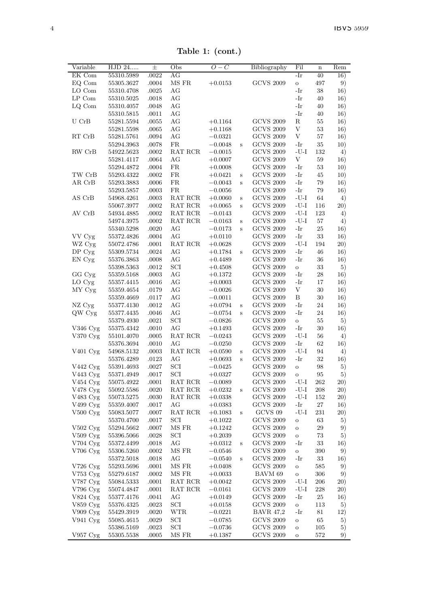Table 1: (cont.)

| Variable                | HJD 24     | 土         | Obs                                       | $O -$<br>$\mathcal{C}$ |   | Bibliography       | Fil          | $\mathbf n$ | Rem     |
|-------------------------|------------|-----------|-------------------------------------------|------------------------|---|--------------------|--------------|-------------|---------|
| EK Com                  | 55310.5989 | .0022     | AG                                        |                        |   |                    | $-Ir$        | 40          | 16)     |
| EQ Com                  | 55305.3627 | .0004     | MS FR                                     | $+0.0153$              |   | <b>GCVS 2009</b>   | $\,$ O       | 497         | 9)      |
| LO Com                  | 55310.4708 | .0025     | AG                                        |                        |   |                    | -Ir          | 38          | 16)     |
| $\operatorname{LP}$ Com | 55310.5025 | .0018     | AG                                        |                        |   |                    | $-Ir$        | 40          | 16)     |
| LQ Com                  | 55310.4057 | .0048     | AG                                        |                        |   |                    | -Ir          | 40          | 16)     |
|                         | 55310.5815 | .0011     | AG                                        |                        |   |                    | $-Ir$        | 40          | 16)     |
| U CrB                   | 55281.5594 | .0055     | AG                                        | $+0.1164$              |   | <b>GCVS 2009</b>   | R            | 55          | 16)     |
|                         | 55281.5598 | .0065     | AG                                        | $+0.1168$              |   | <b>GCVS 2009</b>   | V            | 53          | 16)     |
| RT CrB                  | 55281.5761 | .0094     | AG                                        | $-0.0321$              |   | <b>GCVS 2009</b>   | V            | 57          | 16)     |
|                         | 55294.3963 | .0078     | FR.                                       | $-0.0048$              | Ś | <b>GCVS 2009</b>   | -Ir          | 35          | 10)     |
| RW CrB                  | 54922.5623 | .0002     | RAT RCR                                   | $-0.0015$              |   | <b>GCVS 2009</b>   | $-U-I$       | 132         | 4)      |
|                         | 55281.4117 | .0064     | AG                                        | $+0.0007$              |   | <b>GCVS 2009</b>   | $_{\rm V}$   | 59          | 16)     |
|                         | 55294.4872 | .0004     | FR                                        | $+0.0008$              |   | <b>GCVS 2009</b>   | -Ir          | 53          | 10)     |
| TW CrB                  | 55293.4322 | .0002     | FR.                                       | $+0.0421$              | S | <b>GCVS 2009</b>   | -Ir          | 45          | 10)     |
| AR CrB                  | 55293.3883 | .0006     | FR.                                       | $-0.0043$              | Ś | <b>GCVS 2009</b>   | -Ir          | 79          | 16)     |
|                         | 55293.5857 | .0003     | FR.                                       | $-0.0056$              |   | <b>GCVS 2009</b>   | -Ir          | 79          | 16)     |
| AS CrB                  | 54968.4261 | .0003     | RAT RCR                                   | $+0.0060$              | S | <b>GCVS 2009</b>   | $-U-I$       | 64          | 4)      |
|                         | 55067.3977 | .0002     | RAT RCR                                   | $+0.0065$              | S | <b>GCVS 2009</b>   | $-U-I$       | 116         | 20)     |
| AV CrB                  | 54934.4885 | .0002     | RAT RCR                                   | $-0.0143$              |   | <b>GCVS 2009</b>   | $-U-I$       | 123         | 4)      |
|                         | 54974.3975 | .0002     | RAT RCR                                   | $-0.0163$              | S | <b>GCVS 2009</b>   | $-U-I$       | 57          | 4)      |
|                         | 55340.5298 | .0020     | AG                                        | $-0.0173$              | S | $\rm GCVS$ $2009$  | -Ir          | 25          | 16)     |
| VV Cyg                  | 55372.4826 | .0004     | AG                                        | $+0.0110$              |   | <b>GCVS 2009</b>   | -Ir          | 33          | 16)     |
| WZ Cyg                  | 55072.4786 | .0001     | RAT RCR                                   | $+0.0628$              |   | <b>GCVS 2009</b>   | $-U-I$       | 194         | (20)    |
| DP Cyg                  | 55309.5734 | .0024     | AG                                        | $+0.1784$              | S | <b>GCVS 2009</b>   | $-Ir$        | 46          | 16)     |
| EN Cyg                  | 55376.3863 | .0008     | AG                                        | $+0.4489$              |   | <b>GCVS 2009</b>   | -Ir          | 36          | 16)     |
|                         | 55398.5363 | .0012     | SCI                                       | $+0.4508$              |   | <b>GCVS 2009</b>   | $\circ$      | 33          | 5)      |
| GG Cyg                  | 55359.5168 | .0003     | AG                                        | $+0.1372$              |   | <b>GCVS 2009</b>   | -Ir          | 28          | 16)     |
| LO Cyg                  | 55357.4415 | .0016     | AG                                        | $+0.0003$              |   | <b>GCVS 2009</b>   | -Ir          | 17          | 16)     |
| MY Cyg                  | 55359.4654 | .0179     | AG                                        | $-0.0026$              |   | <b>GCVS 2009</b>   | V            | 30          | 16)     |
|                         | 55359.4669 | .0117     | AG                                        | $-0.0011$              |   | <b>GCVS 2009</b>   | B            | 30          | 16)     |
| NZ Cyg                  | 55377.4130 | .0012     | AG                                        | $+0.0794$              | S | <b>GCVS 2009</b>   | -Ir          | 24          | 16)     |
| QW Cyg                  | 55377.4435 | .0046     | AG                                        | $-0.0754$              | Ś | <b>GCVS 2009</b>   | -Ir          | 24          | 16)     |
|                         | 55379.4930 | .0021     | SCI                                       | $-0.0826$              |   | <b>GCVS 2009</b>   | $\mathbf{o}$ | 55          | 5)      |
| V346 Cyg                | 55375.4342 | .0010     | AG                                        | $+0.1493$              |   | <b>GCVS 2009</b>   | -Ir          | 30          | 16)     |
| V370 Cyg                | 55101.4070 | .0005     | RAT RCR                                   | $-0.0243$              |   | <b>GCVS 2009</b>   | $-U-I$       | 56          | $^{4)}$ |
|                         | 55376.3694 | .0010     | AG                                        | $-0.0250$              |   | <b>GCVS 2009</b>   | -Ir          | 62          | 16)     |
| V <sub>401</sub> Cyg    | 54968.5132 | .0003     | RAT RCR                                   | $+0.0590$              | S | <b>GCVS 2009</b>   | $-U-I$       | 94          | 4)      |
|                         | 55376.4289 | .0123     | AG                                        | $+0.0693$              | Ś | <b>GCVS 2009</b>   | -Ir          | 32          | 16)     |
| V442 Cyg                | 55391.4693 | .0027     | SCI                                       | $-0.0425$              |   | <b>GCVS 2009</b>   | $\circ$      | 98          | 5)      |
| V443 Cyg                | 55371.4949 | .0017     | SCI                                       | $+0.0327$              |   | <b>GCVS 2009</b>   | $\circ$      | 95          | 5)      |
| V454 Cyg                | 55075.4922 | .0001     | RAT RCR                                   | $-0.0089$              |   | <b>GCVS 2009</b>   | $-U-I$       | 262         | (20)    |
| V478 Cyg                | 55092.5586 | .0020     | RAT RCR                                   | $+0.0232$              | S | <b>GCVS 2009</b>   | $-U-I$       | 208         | 20)     |
| V483 Cyg                | 55073.5275 | .0030     | RAT RCR                                   | $+0.0338$              |   | <b>GCVS 2009</b>   | $-U-I$       | 152         | 20)     |
| V499 Cyg                | 55359.4007 | .0017     | AG                                        | $+0.0383$              |   | <b>GCVS 2009</b>   | -Ir          | $\sqrt{27}$ | 16)     |
| $V500$ Cyg              | 55083.5077 | .0007     | RAT RCR                                   | $+0.1083$              | S | GCVS <sub>09</sub> | $-U-I$       | 231         | 20)     |
|                         | 55370.4700 | .0017     | SCI                                       | $+0.1022$              |   | <b>GCVS 2009</b>   | $\circ$      | 63          | 5)      |
| $V502$ Cyg              | 55294.5662 | .0007     | MS FR                                     | $+0.1242$              |   | <b>GCVS 2009</b>   | $\circ$      | 29          | 9)      |
| $V509$ Cyg              | 55396.5066 | .0028     | SCI                                       | $+0.2039$              |   | <b>GCVS 2009</b>   | O            | 73          | 5)      |
| V704 Cyg                | 55372.4499 | .0018     | AG                                        | $+0.0312$              | Ś | <b>GCVS 2009</b>   | -Ir          | 33          | 16)     |
| V706 Cyg                | 55306.5260 | .0002     | MS FR                                     | $-0.0546$              |   | <b>GCVS 2009</b>   | $\circ$      | 390         | 9)      |
|                         | 55372.5018 | .0018     | AG                                        | $-0.0540$              | S | <b>GCVS 2009</b>   | -Ir          | 33          | 16)     |
| V726 Cyg                | 55293.5696 | .0001     | MS FR                                     | $+0.0408$              |   | <b>GCVS 2009</b>   | $\circ$      | 585         | 9)      |
| V753 Cyg                | 55279.6187 | $.0002\,$ | MS FR                                     | $+0.0033$              |   | BAVM 69            | $\circ$      | 306         | 9)      |
| V787 Cyg                | 55084.5333 | .0001     | $\operatorname{RAT}$ $\operatorname{RCR}$ | $+0.0042$              |   | <b>GCVS 2009</b>   | $-U-I$       | 206         | (20)    |
| V796 Cyg                | 55074.4847 | .0001     | RAT RCR                                   | $-0.0161$              |   | <b>GCVS 2009</b>   | $-U-I$       | 228         | 20)     |
| V824 Cyg                | 55377.4176 | .0041     | AG                                        | $+0.0149$              |   | <b>GCVS 2009</b>   | -Ir          | 25          | 16)     |
| V859 Cyg                | 55376.4325 | .0023     | SCI                                       | $+0.0158$              |   | <b>GCVS 2009</b>   | O            | 113         | 5)      |
| V909 Cyg                | 55429.3919 | .0020     | <b>WTR</b>                                | $-0.0221$              |   | <b>BAVR 47,2</b>   | -Ir          | 81          | 12)     |
| V941 Cyg                | 55085.4615 | .0029     | SCI                                       | $-0.0785$              |   | <b>GCVS 2009</b>   | $\Omega$     | 65          | 5)      |
|                         | 55386.5169 | .0023     | SCI                                       | $-0.0736$              |   | <b>GCVS 2009</b>   | $\circ$      | 105         | 5)      |
| V957 Cyg                | 55305.5538 | .0005     | MS FR                                     | $+0.1387$              |   | <b>GCVS 2009</b>   | $\circ$      | 572         | 9)      |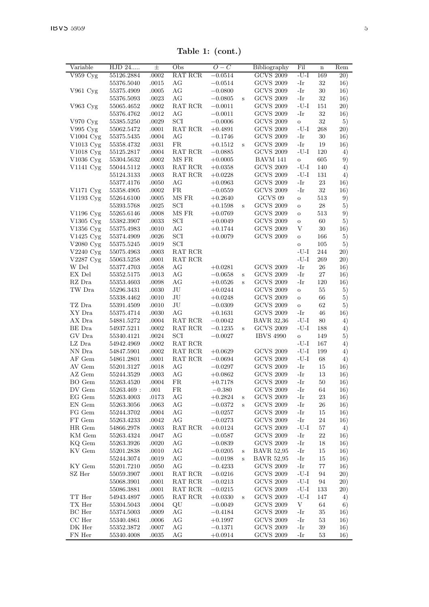| Variable                | HJD 24     | $_{\pm}$ | Obs       | $O-C$                  |         | Bibliography       | Fil        | $\mathbf n$ | Rem        |
|-------------------------|------------|----------|-----------|------------------------|---------|--------------------|------------|-------------|------------|
| V959 Cyg                | 55126.2884 | .0002    | RAT RCR   | $-0.0514$              |         | <b>GCVS 2009</b>   | -U-I       | 169         | 20)        |
|                         | 55376.5040 | .0015    | AG        | $-0.0514$              |         | <b>GCVS 2009</b>   | -Ir        | 32          | 16)        |
| V961 Cyg                | 55375.4909 | .0005    | AG        | $-0.0800$              |         | <b>GCVS 2009</b>   | -Ir        | 30          | 16)        |
|                         | 55376.5093 | .0023    | АG        | $-0.0805$              | S       | <b>GCVS 2009</b>   | -Ir        | 32          | 16)        |
| V963 Cyg                | 55065.4652 | .0002    | RAT RCR   | $-0.0011$              |         | <b>GCVS 2009</b>   | $-U-I$     | 151         | 20)        |
|                         | 55376.4762 | .0012    | AG        | $-0.0011$              |         | <b>GCVS 2009</b>   | -Ir        | 32          | 16)        |
| V970 Cyg                | 55385.5250 | .0029    | SCI       | $-0.0006$              |         | <b>GCVS 2009</b>   | $\circ$    | 32          | 5)         |
| V995 Cyg                | 55062.5472 | .0001    | RAT RCR   | $+0.4891$              |         | <b>GCVS 2009</b>   | $-U-I$     | 268         | 20)        |
| V1004 Cyg               | 55375.5435 | .0004    | AG        | $-0.1746$              |         | <b>GCVS 2009</b>   | -Ir        | 30          | 16)        |
| V1013 Cyg               | 55358.4732 | .0031    | FR.       | $+0.1512$              | $\,$ s  | <b>GCVS 2009</b>   | -Ir        | 19          | 16)        |
| V1018 Cyg               | 55125.2817 | .0004    | RAT RCR   | $-0.0885$              |         | <b>GCVS 2009</b>   | $-U-I$     | 120         | 4)         |
| V1036 Cyg               | 55304.5632 | .0002    | MS FR     | $+0.0005$              |         | BAVM 141           | $\circ$    | 605         | 9)         |
| V1141 Cyg               | 55044.5112 | .0003    | RAT RCR   | $+0.0358$              |         | <b>GCVS 2009</b>   | -U-I       | 140         | 4)         |
|                         | 55124.3133 | .0003    | RAT RCR   | $+0.0228$              |         | <b>GCVS 2009</b>   | -U-I       | 131         | 4)         |
|                         | 55377.4176 | .0050    | AG        | $+0.0963$              |         | <b>GCVS 2009</b>   | -Ir        | 23          | 16)        |
| V1171 Cyg               | 55358.4905 | .0002    | FR        | $-0.0559$              |         | <b>GCVS 2009</b>   | -Ir        | 32          | 16)        |
| V1193 Cyg               | 55264.6100 | .0005    | MS FR     | $+0.2640$              |         | GCVS <sub>09</sub> | $\circ$    | 513         | 9)         |
|                         | 55393.5768 | .0025    | SCI       | $+0.1598$              | $\,$ s  | <b>GCVS 2009</b>   | $\circ$    | 28          | 5)         |
| V1196 Cyg               | 55265.6146 | .0008    | MS FR     | $+0.0769$              |         | <b>GCVS 2009</b>   | $\ddot{o}$ | 513         | 9)         |
| V1305 Cyg               | 55382.3907 | .0033    | SCI       | $+0.0049$              |         | <b>GCVS 2009</b>   | $\circ$    | 60          | 5)         |
| V1356 Cyg               | 55375.4983 | .0010    | AG        | $+0.1744$              |         | <b>GCVS 2009</b>   | V          | 30          | 16)        |
| V1425 Cyg               | 55374.4909 | .0026    | SCI       | $+0.0079$              |         | <b>GCVS 2009</b>   | $\ddot{o}$ | 166         | 5)         |
| V2080 Cyg               | 55375.5245 | .0019    | SCI       |                        |         |                    | $\ddot{o}$ | 105         | 5)         |
| $V2240 \mathrm{Cyg}$    | 55075.4963 | .0003    | RAT RCR   |                        |         |                    | -U-I       | 244         | 20)        |
| V2287 Cyg               | 55063.5258 | .0001    | RAT RCR   |                        |         |                    | $-U-I$     | 269         | 20)        |
| W Del                   | 55377.4703 | .0058    | AG        | $+0.0281$              |         | <b>GCVS 2009</b>   | -Ir        | 26          | 16)        |
| EX Del                  | 55352.5175 | .0013    | AG        | $-0.0658$              | S       | <b>GCVS 2009</b>   | -Ir        | 27          | 16)        |
| RZ Dra                  | 55353.4603 | .0098    | AG        | $+0.0526$              | S       | <b>GCVS 2009</b>   | -Ir        | 120         | 16)        |
| TW Dra                  | 55296.3431 | .0030    | JU        | $+0.0244$              |         | <b>GCVS 2009</b>   | $\circ$    | 55          | 5)         |
|                         | 55338.4462 | .0010    | JU        | $+0.0248$              |         | <b>GCVS 2009</b>   | $\ddot{o}$ | 66          | 5)         |
| TZ Dra                  | 55391.4509 | .0010    | JU        | $-0.0309$              |         | <b>GCVS 2009</b>   | $\circ$    | 62          | 5)         |
| XY Dra                  | 55375.4714 | .0030    | AG        | $+0.1631$              |         | <b>GCVS 2009</b>   | -Ir        | 46          | 16)        |
| AX Dra                  | 54881.5272 | .0004    | RAT RCR   | $-0.0042$              |         | <b>BAVR 32,36</b>  | $-U-I$     | 80          | 4)         |
| BE Dra                  | 54937.5211 | .0002    | RAT RCR   | $-0.1235$              | $\bf S$ | <b>GCVS 2009</b>   | $-U-I$     | 188         | 4)         |
| GV Dra                  | 55340.4121 | .0024    | SCI       | $-0.0027$              |         | <b>IBVS 4990</b>   | $\circ$    | 149         | 5)         |
| LZ Dra                  | 54942.4969 | .0002    | RAT RCR   |                        |         |                    | -U-I       | 167         | 4)         |
| NN Dra                  | 54847.5901 | .0002    | RAT RCR   | $+0.0629$              |         | <b>GCVS 2009</b>   | $-U-I$     | 199         | 4)         |
| AF Gem                  | 54861.2801 | .0001    | RAT RCR   | $-0.0694$              |         | <b>GCVS 2009</b>   | $-U-I$     | 68          | 4)         |
| AV Gem                  | 55201.3127 | .0018    | AG        | $-0.0297$              |         | <b>GCVS 2009</b>   | -Ir        | 15          | 16)        |
| AZ Gem                  | 55244.3529 | .0003    | AG        |                        |         | <b>GCVS 2009</b>   | -Ir        | 13          |            |
| BO Gem                  | 55263.4520 | .0004    | <b>FR</b> | $+0.0862$<br>$+0.7178$ |         | <b>GCVS 2009</b>   | -Ir        | 50          | 16)        |
| DV Gem                  | 55263.469: | .001     | FR        | $-0.380$               |         | <b>GCVS 2009</b>   | -Ir        | 64          | 16)        |
| EG Gem                  | 55263.4003 | .0173    | AG        | $+0.2824$              |         | <b>GCVS 2009</b>   | -Ir        | 23          | 16)        |
| EN Gem                  | 55263.3056 | .0063    | AG        | $-0.0372$              | S<br>S  | <b>GCVS 2009</b>   | -Ir        | 26          | 16)<br>16) |
| FG Gem                  | 55244.3702 | .0004    | AG        | $-0.0257$              |         | <b>GCVS 2009</b>   | $-Ir$      | 15          |            |
| FT Gem                  | 55263.4233 | .0042    | AG        | $-0.0273$              |         | <b>GCVS 2009</b>   | -Ir        | 24          | 16)<br>16) |
| $HR$ $Gem$              |            |          | RAT RCR   |                        |         | <b>GCVS 2009</b>   | $-U-I$     |             |            |
| KM Gem                  | 54866.2978 | .0003    | AG        | $+0.0124$              |         | <b>GCVS 2009</b>   | -Ir        | 57<br>22    | 4)         |
|                         | 55263.4324 | .0047    |           | $-0.0587$              |         |                    |            | 18          | 16)        |
| KQ Gem                  | 55263.3926 | .0020    | AG        | $-0.0839$              |         | <b>GCVS 2009</b>   | -Ir        |             | 16)        |
| KV Gem                  | 55201.2838 | .0010    | AG        | $-0.0205$              | S       | <b>BAVR 52,95</b>  | $-Ir$      | 15          | 16)        |
| KY Gem                  | 55244.3074 | .0019    | AG<br>AG  | $-0.0198$              | S       | <b>BAVR 52,95</b>  | $-Ir$      | 15          | 16)        |
|                         | 55201.7210 | .0050    |           | $-0.4233$              |         | <b>GCVS 2009</b>   | -Ir        | 77          | 16)        |
| SZ Her                  | 55059.3907 | .0001    | RAT RCR   | $-0.0216$              |         | <b>GCVS 2009</b>   | -U-I       | 94          | 20)        |
|                         | 55068.3901 | .0001    | RAT RCR   | $-0.0213$              |         | <b>GCVS 2009</b>   | $-U-I$     | 94          | 20)        |
|                         | 55086.3881 | .0001    | RAT RCR   | $-0.0215$              |         | <b>GCVS 2009</b>   | $-U-I$     | 133         | 20)        |
| $\operatorname{TT}$ Her | 54943.4897 | .0005    | RAT RCR   | $+0.0330$              | $\bf S$ | <b>GCVS 2009</b>   | $-U-I$     | 147         | 4)         |
| TX Her                  | 55304.5043 | .0004    | QU        | $-0.0049$              |         | <b>GCVS 2009</b>   | V          | 64          | 6)         |
| BC Her                  | 55374.5003 | .0009    | AG        | $-0.4184$              |         | <b>GCVS 2009</b>   | -Ir        | 35          | 16)        |
| $CC$ Her                | 55340.4861 | .0006    | AG        | $+0.1997$              |         | <b>GCVS 2009</b>   | -Ir        | 53          | 16)        |
| DK Her                  | 55352.3872 | .0007    | AG        | $-0.1371$              |         | <b>GCVS 2009</b>   | -Ir        | 39          | 16)        |
| FN Her                  | 55340.4008 | .0035    | АG        | $+0.0914$              |         | <b>GCVS 2009</b>   | -Ir        | 53          | 16)        |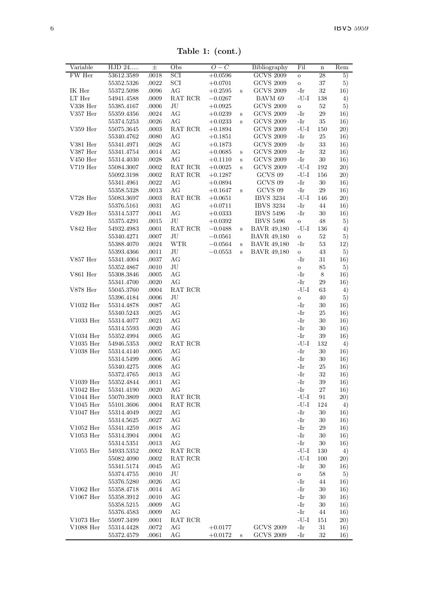Table 1: (cont.)

| Variable        | HJD 24     | $_{\pm}$ | Obs         | $\overline{O}-C$ |              | Bibliography       | Fil          | $\mathbf n$ | Rem |
|-----------------|------------|----------|-------------|------------------|--------------|--------------------|--------------|-------------|-----|
| FW Her          | 53612.3589 | .0018    | SCI         | $+0.0596$        |              | <b>GCVS 2009</b>   | $\circ$      | 28          | 5)  |
|                 | 55352.5326 | .0022    | SCI         | $+0.0701$        |              | <b>GCVS 2009</b>   | $\rm _O$     | 37          | 5)  |
| IK Her          | 55372.5098 | .0096    | AG          | $+0.2595$        | $\rm s$      | <b>GCVS 2009</b>   | -Ir          | 32          | 16) |
| LT Her          | 54941.4588 | .0009    | RAT RCR     | $-0.0267$        |              | BAVM 69            | $-U-I$       | 138         | 4)  |
| V338 Her        | 55385.4167 | .0006    | JU          | $+0.0925$        |              | <b>GCVS 2009</b>   | $\circ$      | 52          | 5)  |
| V357 Her        | 55359.4356 | .0024    | AG          | $+0.0239$        | $\,$ s       | <b>GCVS 2009</b>   | -Ir          | 29          | 16) |
|                 | 55374.5253 | .0026    | AG          | $+0.0233$        | S            | <b>GCVS 2009</b>   | -Ir          | 35          | 16) |
| V359 Her        | 55075.3645 | .0003    | RAT RCR     | $+0.1894$        |              | <b>GCVS 2009</b>   | $-U-I$       | 150         | 20) |
|                 | 55340.4762 | .0080    | AG          | $+0.1851$        |              | <b>GCVS 2009</b>   | -Ir          | 25          | 16) |
| V381 Her        | 55341.4971 | .0028    | AG          | $+0.1873$        |              | <b>GCVS 2009</b>   | -Ir          | 33          | 16) |
| V387 Her        | 55341.4754 | .0014    | AG          | $+0.0685$        | S            | <b>GCVS 2009</b>   | -Ir          | 32          | 16) |
| $V450$ Her      | 55314.4030 | .0028    | AG          | $+0.1110$        | S            | <b>GCVS 2009</b>   | $-Ir$        | $30\,$      | 16) |
| $V719$ Her      | 55084.3007 | .0002    | RAT RCR     | $+0.0025$        | $\mathbf{s}$ | <b>GCVS 2009</b>   | $-U-I$       | 192         | 20) |
|                 | 55092.3198 | .0002    | RAT RCR     | $+0.1287$        |              | GCVS 09            | $-U-I$       | 156         | 20) |
|                 | 55341.4961 | .0022    | AG          | $+0.0894$        |              | GCVS 09            | $-Ir$        | 30          | 16) |
|                 | 55358.5328 | .0013    | AG          | $+0.1647$        | S            | GCVS 09            | $-Ir$        | 29          | 16) |
| $V728$ Her      | 55083.3697 | .0003    | RAT RCR     | $+0.0651$        |              | <b>IBVS 3234</b>   | $-U-I$       | 146         | 20) |
|                 | 55376.5161 | .0031    | AG          | $+0.0711$        |              | <b>IBVS 3234</b>   | -Ir          | 44          | 16) |
| V829 Her        | 55314.5377 | .0041    | AG          | $+0.0333$        |              | <b>IBVS 5496</b>   | -Ir          | 30          | 16) |
|                 | 55375.4291 | .0015    | JU          | $+0.0392$        |              | <b>IBVS 5496</b>   | $\circ$      | 48          | 5)  |
| V842 Her        | 54932.4983 | .0001    | RAT RCR     | $-0.0488$        | $\bf S$      | <b>BAVR 49,180</b> | $-U-I$       | 136         | 4)  |
|                 | 55340.4271 | .0007    | JU          | $-0.0561$        |              | <b>BAVR 49,180</b> | $\circ$      | 52          | 5)  |
|                 | 55388.4070 | .0024    | <b>WTR</b>  | $-0.0564$        | $\bf S$      | <b>BAVR 49.180</b> | -Ir          | 53          | 12) |
|                 | 55393.4366 | .0011    | JU          | $-0.0553$        | $\,$ s       | <b>BAVR 49,180</b> | $\mathbf{o}$ | 43          | 5)  |
| V857 Her        | 55341.4004 | .0037    | AG          |                  |              |                    | $-Ir$        | 31          | 16) |
|                 | 55352.4867 | .0010    | JU          |                  |              |                    | $\circ$      | 85          | 5)  |
| $V861$ Her      | 55308.3846 | .0005    | AG          |                  |              |                    | $-Ir$        | 8           | 16) |
|                 | 55341.4700 | .0020    | AG          |                  |              |                    | -Ir          | 29          | 16) |
| <b>V878 Her</b> | 55045.3760 | .0004    | RAT RCR     |                  |              |                    | $-U-I$       | 63          | 4)  |
|                 | 55396.4184 | .0006    | $_{\rm JU}$ |                  |              |                    | $\circ$      | 40          | 5)  |
| V1032 Her       | 55314.4878 | .0087    | AG          |                  |              |                    | -Ir          | 30          | 16) |
|                 | 55340.5243 | .0025    | AG          |                  |              |                    | $-Ir$        | 25          | 16) |
| $V1033$ Her     | 55314.4077 | .0021    | AG          |                  |              |                    | -Ir          | 30          | 16) |
|                 | 55314.5593 | .0020    | AG          |                  |              |                    | $-Ir$        | 30          | 16) |
| $V1034$ Her     | 55352.4994 | .0005    | AG          |                  |              |                    | $-Ir$        | 39          | 16) |
| $V1035$ Her     | 54946.5353 | .0002    | RAT RCR     |                  |              |                    | $-U-I$       | 132         | 4)  |
| $V1038$ Her     | 55314.4140 | .0005    | AG          |                  |              |                    | -Ir          | 30          | 16) |
|                 | 55314.5499 | .0006    | AG          |                  |              |                    | -Ir          | 30          | 16) |
|                 | 55340.4275 | .0008    | AG          |                  |              |                    | $-Ir$        | 25          | 16) |
|                 | 55372.4765 | .0013    | AG          |                  |              |                    | $-Ir$        | 32          | 16) |
| $V1039$ Her     | 55352.4844 | .0011    | AG          |                  |              |                    | $-Ir$        | 39          | 16) |
| $V1042$ Her     | 55341.4190 | .0020    | AG          |                  |              |                    | $-Ir$        | 27          | 16) |
| $V1044$ Her     | 55070.3809 | .0003    | RAT RCR     |                  |              |                    | $-U-I$       | 91          | 20) |
| $V1045$ Her     | 55101.3606 | .0004    | RAT RCR     |                  |              |                    | $-U-I$       | 124         | 4)  |
| $V1047$ Her     | 55314.4049 | .0022    | AG          |                  |              |                    | $-Ir$        | 30          | 16) |
|                 | 55314.5625 | .0027    | AG          |                  |              |                    | $-Ir$        | 30          | 16) |
| $V1052$ Her     | 55341.4259 | .0018    | AG          |                  |              |                    | $-Ir$        | 29          | 16) |
| $V1053$ Her     | 55314.3904 | .0004    | AG          |                  |              |                    | $-Ir$        | 30          | 16) |
|                 | 55314.5351 | .0013    | AG          |                  |              |                    | -Ir          | 30          | 16) |
| $V1055$ Her     | 54933.5352 | .0002    | RAT RCR     |                  |              |                    | $-U-I$       | 130         | 4)  |
|                 | 55082.4090 | .0002    | RAT RCR     |                  |              |                    | $-U-I$       | 100         | 20) |
|                 | 55341.5174 | .0045    | AG          |                  |              |                    | -Ir          | 30          | 16) |
|                 | 55374.4755 | .0010    | JU          |                  |              |                    | $\rm _O$     | 58          | 5)  |
|                 | 55376.5280 | .0026    | AG          |                  |              |                    | $-Ir$        | 44          | 16) |
| $V1062$ Her     | 55358.4718 | .0014    | AG          |                  |              |                    | $-Ir$        | 30          | 16) |
| $V1067$ Her     | 55358.3912 | .0010    | AG          |                  |              |                    | -Ir          | 30          | 16) |
|                 | 55358.5215 | .0009    | AG          |                  |              |                    | $-Ir$        | 30          | 16) |
|                 | 55376.4583 | .0009    | AG          |                  |              |                    | $-Ir$        | 44          | 16) |
| $V1073$ Her     | 55097.3499 | .0001    | RAT RCR     |                  |              |                    | $-U-I$       | 151         | 20) |
| V1088 Her       | 55314.4428 | .0072    | AG          | $+0.0177$        |              | <b>GCVS 2009</b>   | -Ir          | 31          | 16) |
|                 | 55372.4579 | .0061    | AG          | $+0.0172$        | S            | <b>GCVS 2009</b>   | -Ir          | 32          | 16) |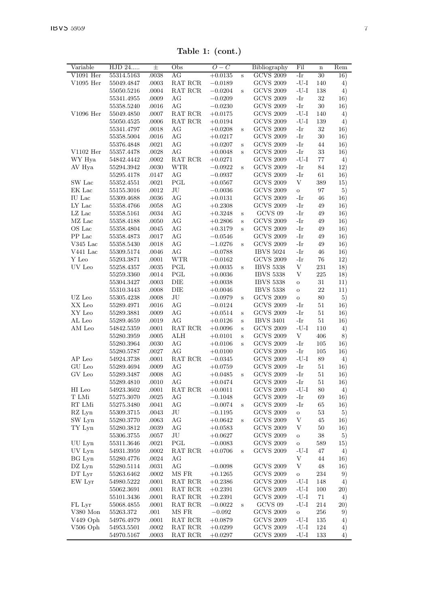Table 1: (cont.)

| Variable         | HJD 24     | $\pm$ | Obs        | O<br>$-C$              |        | Bibliography     | Fil            | $\mathbf n$ | Rem |
|------------------|------------|-------|------------|------------------------|--------|------------------|----------------|-------------|-----|
| $V1091$ Her      | 55314.5163 | .0038 | AG         | $+0.0135$              | s      | <b>GCVS 2009</b> | $-Ir$          | 30          | 16) |
| $V1095$ Her      | 55049.4847 | .0003 | RAT RCR    | $-0.0189$              |        | <b>GCVS 2009</b> | $-U-I$         | 140         | 4)  |
|                  | 55050.5216 | .0004 | RAT RCR    | $-0.0204$              | s      | <b>GCVS 2009</b> | $-U-I$         | 138         | 4)  |
|                  | 55341.4955 | .0009 | AG         | $-0.0209$              |        | <b>GCVS 2009</b> | $-Ir$          | 32          | 16) |
|                  | 55358.5240 | .0016 | AG         | $-0.0230$              |        | <b>GCVS 2009</b> | $-Ir$          | 30          | 16) |
| V1096 Her        | 55049.4850 | .0007 | RAT RCR    | $+0.0175$              |        | <b>GCVS 2009</b> | $-U-I$         | 140         | 4)  |
|                  | 55050.4525 | .0006 | RAT RCR    | $+0.0194$              |        | <b>GCVS 2009</b> | $-U-I$         | 139         | 4)  |
|                  | 55341.4797 | .0018 | AG         | $+0.0208$              | S      | <b>GCVS 2009</b> | -Ir            | 32          | 16) |
|                  | 55358.5004 | .0016 | AG         | $+0.0217$              |        | <b>GCVS 2009</b> | $-Ir$          | 30          | 16) |
|                  | 55376.4848 | .0021 | AG         | $+0.0207$              | S      | <b>GCVS 2009</b> | -Ir            | 44          | 16) |
| $V1102$ Her      | 55357.4478 | .0028 | AG         | $+0.0048$              | Ś      | <b>GCVS 2009</b> | -Ir            | 33          | 16) |
|                  | 54842.4442 | .0002 | RAT RCR    |                        |        | <b>GCVS 2009</b> | $-U-I$         | 77          |     |
| WY Hya<br>AV Hya | 55294.3942 |       | <b>WTR</b> | $+0.0271$<br>$-0.0922$ | s      | <b>GCVS 2009</b> | -Ir            | 84          | 4)  |
|                  |            | .0030 |            |                        |        |                  |                |             | 12) |
|                  | 55295.4178 | .0147 | AG         | $-0.0937$              |        | <b>GCVS 2009</b> | -Ir            | 61          | 16) |
| SW Lac           | 55352.4551 | .0021 | PGL        | $+0.0567$              |        | <b>GCVS 2009</b> | V              | 389         | 15) |
| EK Lac           | 55155.3016 | .0012 | JU         | $-0.0036$              |        | <b>GCVS 2009</b> | $\circ$        | 97          | 5)  |
| IU Lac           | 55309.4688 | .0036 | AG         | $+0.0131$              |        | <b>GCVS 2009</b> | $-Ir$          | 46          | 16) |
| LY Lac           | 55358.4766 | .0058 | AG         | $+0.2308$              |        | <b>GCVS 2009</b> | -Ir            | 49          | 16) |
| $LZ$ Lac         | 55358.5161 | .0034 | AG         | $+0.3248$              | S      | GCVS 09          | -Ir            | 49          | 16) |
| MZ Lac           | 55358.4188 | .0050 | AG         | $+0.2806$              | S      | <b>GCVS 2009</b> | -Ir            | 49          | 16) |
| OS Lac           | 55358.4804 | .0045 | AG         | $+0.3179$              | S      | <b>GCVS 2009</b> | $-Ir$          | 49          | 16) |
| PP Lac           | 55358.4873 | .0017 | AG         | $-0.0546$              |        | <b>GCVS 2009</b> | $-Ir$          | 49          | 16) |
| $V345$ Lac       | 55358.5430 | .0018 | AG         | $-1.0276$              | Ś      | <b>GCVS 2009</b> | -Ir            | 49          | 16) |
| V441 Lac         | 55309.5174 | .0046 | AG         | $-0.0788$              |        | <b>IBVS 5024</b> | -Ir            | 46          | 16) |
| Y Leo            | 55293.3871 | .0001 | <b>WTR</b> | $-0.0162$              |        | <b>GCVS 2009</b> | -Ir            | 76          | 12) |
| UV Leo           | 55258.4357 | .0035 | PGL        | $+0.0035$              | S      | <b>IBVS 5338</b> | V              | 231         | 18) |
|                  | 55259.3360 | .0014 | PGL        | $+0.0036$              |        | <b>IBVS 5338</b> | V              | 225         | 18) |
|                  | 55304.3427 | .0003 | DIE        | $+0.0038$              |        | <b>IBVS 5338</b> | $\circ$        | $31\,$      | 11) |
|                  | 55310.3443 | .0008 | DIE        | $+0.0046$              |        | <b>IBVS 5338</b> | $\circ$        | 22          | 11) |
| UZ Leo           | 55305.4238 | .0008 | JU         | $-0.0979$              | Ś      | <b>GCVS 2009</b> | $\circ$        | 80          | 5)  |
| XX Leo           | 55289.4971 | .0016 | AG         | $-0.0124$              |        | <b>GCVS 2009</b> | -Ir            | 51          | 16) |
| XY Leo           | 55289.3881 | .0009 | AG         | $+0.0514$              | S      | <b>GCVS 2009</b> | $-Ir$          | 51          | 16) |
| AL Leo           | 55289.4659 | .0019 | AG         | $+0.0126$              | S      | <b>IBVS 3401</b> | -Ir            | 51          | 16) |
| AM Leo           | 54842.5359 | .0001 | RAT RCR    | $+0.0096$              | Ś      | <b>GCVS 2009</b> | $-U-I$         | 110         | 4)  |
|                  | 55280.3959 | .0005 | ALH        | $+0.0101$              | Ś      | <b>GCVS 2009</b> | V              | 406         | 8)  |
|                  | 55280.3964 | .0030 | AG         | $+0.0106$              | S      | <b>GCVS 2009</b> | $-Ir$          | 105         | 16) |
|                  | 55280.5787 | .0027 | AG         | $+0.0100$              |        | <b>GCVS 2009</b> | -Ir            | 105         | 16) |
| AP Leo           | 54924.3738 | .0001 | RAT RCR    | $-0.0345$              |        | <b>GCVS 2009</b> | $-U-I$         | 89          | 4)  |
| GU Leo           | 55289.4694 | .0009 | AG         | $+0.0759$              |        | <b>GCVS 2009</b> | -Ir            | 51          | 16) |
| GV Leo           | 55289.3487 | .0008 | AG         | $+0.0485$              | Ś      | <b>GCVS 2009</b> | $-Ir$          | $51\,$      | 16) |
|                  | 55289.4810 | .0010 | AG         | $+0.0474$              |        | <b>GCVS 2009</b> | -Ir            | 51          | 16) |
| HI Leo           | 54923.3602 | .0001 | RAT RCR    | $+0.0011$              |        | <b>GCVS 2009</b> | $-I-J-$        | 80          | 4)  |
| T LMi            | 55275.3070 | .0025 | AG         | $-0.1048$              |        | <b>GCVS 2009</b> | -Ir            | 69          | 16) |
| RT LMi           | 55275.3480 | .0041 | AG         | $-0.0074$              | S      | <b>GCVS 2009</b> | -Ir            | 65          | 16) |
| RZ Lyn           | 55309.3715 | .0043 | JU         | $-0.1195$              |        | <b>GCVS 2009</b> | $\circ$        | 53          | 5)  |
| SW Lyn           | 55280.3770 | .0063 | AG         | $+0.0642$              | Ś      | <b>GCVS 2009</b> | V              | 45          | 16) |
|                  |            |       | AG         |                        |        | <b>GCVS 2009</b> | V              |             |     |
| TY Lyn           | 55280.3812 | .0039 |            | $+0.0583$              |        |                  |                | 50          | 16) |
|                  | 55306.3755 | .0057 | JU         | $+0.0627$              |        | <b>GCVS 2009</b> | $\circ$        | 38          | 5)  |
| UU Lyn           | 55311.3646 | .0021 | PGL        | $-0.0083$              |        | <b>GCVS 2009</b> | $\circ$        | 589         | 15) |
| UV Lyn           | 54931.3959 | .0002 | RAT RCR    | $+0.0706$              | Ś      | <b>GCVS 2009</b> | $-U-I$         | 47          | 4)  |
| BG Lyn           | 55280.4776 | .0024 | AG         |                        |        |                  | $\overline{V}$ | 44          | 16) |
| DZ Lyn           | 55280.5114 | .0031 | AG         | $-0.0098$              |        | <b>GCVS 2009</b> | V              | 48          | 16) |
| DT Lyr           | 55263.6462 | .0002 | MS FR      | $+0.1265$              |        | <b>GCVS 2009</b> | $\circ$        | 234         | 9)  |
| EW Lyr           | 54980.5222 | .0001 | RAT RCR    | $+0.2386$              |        | <b>GCVS 2009</b> | -U-I           | 148         | 4)  |
|                  | 55062.3691 | .0001 | RAT RCR    | $+0.2391$              |        | <b>GCVS 2009</b> | $-U-I$         | 100         | 20) |
|                  | 55101.3436 | .0001 | RAT RCR    | $+0.2391$              |        | <b>GCVS 2009</b> | $-U-I$         | $71\,$      | 4)  |
| FL Lyr           | 55068.4855 | .0001 | RAT RCR    | $-0.0022$              | $\,$ s | GCVS 09          | $-U-I$         | 214         | 20) |
| V380 Mon         | 55263.372  | .001  | MS FR      | $-0.092$               |        | <b>GCVS 2009</b> | $\circ$        | 256         | 9)  |
| V449 Oph         | 54976.4979 | .0001 | RAT RCR    | $+0.0879$              |        | <b>GCVS 2009</b> | -U-I           | 135         | 4)  |
| $V506$ Oph       | 54953.5501 | .0002 | RAT RCR    | $+0.0299$              |        | <b>GCVS 2009</b> | $-U-I$         | 124         | 4)  |
|                  | 54970.5167 | .0003 | RAT RCR    | $+0.0297$              |        | <b>GCVS 2009</b> | $-U-I$         | 133         | 4)  |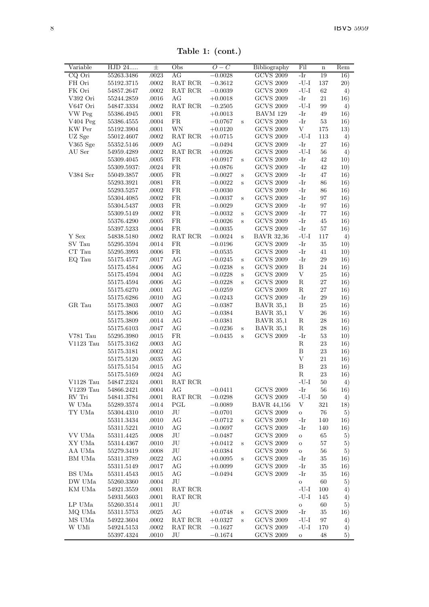Table 1: (cont.)

| Variable    | HJD 24      | 士         | Obs                                       | $O-C$     |              | Bibliography       | Fil        | $\mathbf n$ | Rem     |
|-------------|-------------|-----------|-------------------------------------------|-----------|--------------|--------------------|------------|-------------|---------|
| CQ Ori      | 55263.3486  | .0023     | AG                                        | $-0.0028$ |              | <b>GCVS 2009</b>   | -Ir        | 19          | 16)     |
| FH Ori      | 55192.3715  | .0002     | RAT RCR                                   | $-0.3612$ |              | <b>GCVS 2009</b>   | $-U-I$     | 137         | 20)     |
| FK Ori      | 54857.2647  | $.0002\,$ | RAT RCR                                   | $-0.0039$ |              | <b>GCVS 2009</b>   | $-U-I$     | 62          | 4)      |
| V392 Ori    | 55244.2859  | .0016     | AG                                        | $+0.0018$ |              | <b>GCVS 2009</b>   | -Ir        | 21          | 16)     |
| V647 Ori    | 54847.3334  | .0002     | RAT RCR                                   | $-0.2505$ |              | <b>GCVS 2009</b>   | -U-I       | 99          | $^{4)}$ |
| VW Peg      | 55386.4945  | .0001     | FR                                        | $+0.0013$ |              | BAVM 129           | -Ir        | 49          | 16)     |
| V404 Peg    | 55386.4555  | .0004     | FR.                                       | $-0.0767$ | S            | <b>GCVS 2009</b>   | -Ir        | 53          | 16)     |
| KW Per      | 55192.3904  | .0001     | WN                                        | $+0.0120$ |              | <b>GCVS 2009</b>   | $_{\rm V}$ | 175         | 13)     |
| UZ Sge      | 55012.4607  | .0002     | RAT RCR                                   | $+0.0715$ |              | <b>GCVS 2009</b>   | $-U-I$     | 113         | 4)      |
| V365 Sge    | 55352.5146  | .0009     | AG                                        | $-0.0494$ |              | <b>GCVS 2009</b>   | -Ir        | 27          | 16)     |
| AU Ser      | 54959.4289  | .0002     | RAT RCR                                   | $+0.0926$ |              | <b>GCVS 2009</b>   | $-U-I$     | 56          | 4)      |
|             | 55309.4045  | .0005     | FR.                                       | $+0.0917$ | S            | <b>GCVS 2009</b>   | -Ir        | 42          | 10)     |
|             | 55309.5937: | .0024     | FR                                        | $+0.0876$ |              | <b>GCVS 2009</b>   | -Ir        | 42          | 10)     |
| V384 Ser    | 55049.3857  | .0005     | FR.                                       | $-0.0027$ | S            | <b>GCVS 2009</b>   | -Ir        | 47          | 16)     |
|             | 55293.3921  | .0081     | FR.                                       | $-0.0022$ | Ś            | <b>GCVS 2009</b>   | -Ir        | 86          | 16)     |
|             | 55293.5257  | .0002     | FR.                                       | $-0.0030$ |              | <b>GCVS 2009</b>   | -Ir        | 86          | 16)     |
|             | 55304.4085  | .0002     | FR.                                       | $-0.0037$ | S            | <b>GCVS 2009</b>   | -Ir        | 97          | 16)     |
|             | 55304.5437  | .0003     | FR                                        | $-0.0029$ |              | <b>GCVS 2009</b>   | -Ir        | 97          | 16)     |
|             | 55309.5149  | .0002     | FR.                                       | $-0.0032$ | $\bf s$      | <b>GCVS 2009</b>   | -Ir        | 77          | 16)     |
|             | 55376.4290  | .0005     | <b>FR</b>                                 | $-0.0026$ | Ś            | <b>GCVS 2009</b>   | -Ir        | 45          | 16)     |
|             | 55397.5233  | .0004     | FR                                        | $-0.0035$ |              | <b>GCVS 2009</b>   | -Ir        | 57          | 16)     |
| Y Sex       | 54838.5180  | .0002     | $\operatorname{RAT}$ $\operatorname{RCR}$ | $-0.0024$ | S            | <b>BAVR 32,36</b>  | $-U-I$     | 117         | 4)      |
| SV Tau      | 55295.3594  | .0014     | FR                                        | $-0.0196$ |              | <b>GCVS 2009</b>   | $-Ir$      | 35          | 10)     |
| CT Tau      | 55295.3993  | .0006     | FR.                                       | $-0.0535$ |              | <b>GCVS 2009</b>   | -Ir        | 41          | 10)     |
| EQ Tau      | 55175.4577  | .0017     | AG                                        | $-0.0245$ | Š            | <b>GCVS 2009</b>   | -Ir        | 29          | 16)     |
|             | 55175.4584  | .0006     | AG                                        | $-0.0238$ | S            | <b>GCVS 2009</b>   | B          | 24          |         |
|             |             |           | AG                                        | $-0.0228$ | S            | <b>GCVS 2009</b>   | V          | 25          | 16)     |
|             | 55175.4594  | .0004     | AG                                        |           |              | <b>GCVS 2009</b>   | R          | 27          | 16)     |
|             | 55175.4594  | .0006     |                                           | $-0.0228$ | S            |                    | $_{\rm R}$ | 27          | 16)     |
|             | 55175.6270  | .0001     | AG                                        | $-0.0259$ |              | <b>GCVS 2009</b>   | -Ir        |             | 16)     |
|             | 55175.6286  | .0010     | AG                                        | $-0.0243$ |              | <b>GCVS 2009</b>   | B          | 29<br>25    | 16)     |
| GR Tau      | 55175.3803  | .0007     | AG                                        | $-0.0387$ |              | <b>BAVR 35,1</b>   |            |             | 16)     |
|             | 55175.3806  | .0010     | AG                                        | $-0.0384$ |              | <b>BAVR 35,1</b>   | V          | 26          | 16)     |
|             | 55175.3809  | .0014     | AG                                        | $-0.0381$ |              | <b>BAVR 35,1</b>   | R          | 28          | 16)     |
|             | 55175.6103  | .0047     | AG                                        | $-0.0236$ | S            | <b>BAVR 35,1</b>   | $_{\rm R}$ | 28          | 16)     |
| V781 Tau    | 55295.3980  | .0015     | FR                                        | $-0.0435$ | Ś            | <b>GCVS 2009</b>   | -Ir        | 53          | 10)     |
| $V1123$ Tau | 55175.3162  | .0003     | AG                                        |           |              |                    | R          | 23          | 16)     |
|             | 55175.3181  | .0002     | AG                                        |           |              |                    | B          | 23          | 16)     |
|             | 55175.5120  | .0035     | AG                                        |           |              |                    | V          | 21          | 16)     |
|             | 55175.5154  | .0015     | AG                                        |           |              |                    | B          | 23          | 16)     |
|             | 55175.5169  | .0024     | AG                                        |           |              |                    | R          | 23          | 16)     |
| $V1128$ Tau | 54847.2324  | .0001     | RAT RCR                                   |           |              |                    | $-U-I$     | 50          | 4)      |
| V1239 Tau   | 54866.2421  | .0004     | AG                                        | $-0.0411$ |              | <b>GCVS 2009</b>   | -Ir        | 56          | 16)     |
| RV Tri      | 54841.3784  | .0001     | RAT RCR                                   | $-0.0298$ |              | <b>GCVS 2009</b>   | $-U-I$     | 50          | 4)      |
| W UMa       | 55289.3574  | .0014     | PGL                                       | $-0.0089$ |              | <b>BAVR 44,156</b> | V          | 321         | 18)     |
| TY UMa      | 55304.4310  | .0010     | JU                                        | $-0.0701$ |              | <b>GCVS 2009</b>   | $\rm _O$   | 76          | 5)      |
|             | 55311.3434  | .0010     | AG                                        | $-0.0712$ | Ś            | <b>GCVS 2009</b>   | -Ir        | 140         | 16)     |
|             | 55311.5221  | .0010     | AG                                        | $-0.0697$ |              | <b>GCVS 2009</b>   | -Ir        | 140         | 16)     |
| VV UMa      | 55311.4425  | .0008     | JU                                        | $-0.0487$ |              | <b>GCVS 2009</b>   | $\circ$    | 65          | 5)      |
| XY UMa      | 55314.4367  | .0010     | JU                                        | $+0.0412$ | $\bf S$      | <b>GCVS 2009</b>   | $\circ$    | 57          | 5)      |
| AA UMa      | 55279.3419  | .0008     | JU                                        | $+0.0384$ |              | <b>GCVS 2009</b>   | $\rm _O$   | 56          | 5)      |
| BM UMa      | 55311.3789  | .0022     | AG                                        | $+0.0095$ | $\mathbf{s}$ | <b>GCVS 2009</b>   | -Ir        | 35          | 16)     |
|             | 55311.5149  | .0017     | AG                                        | $+0.0099$ |              | <b>GCVS 2009</b>   | -Ir        | 35          | 16)     |
| BS UMa      | 55311.4543  | .0015     | AG                                        | $-0.0494$ |              | <b>GCVS 2009</b>   | $-Ir$      | 35          | 16)     |
| DW UMa      | 55260.3360  | .0004     | JU                                        |           |              |                    | $\circ$    | 60          | 5)      |
| KM UMa      | 54921.3559  | .0001     | RAT RCR                                   |           |              |                    | $-U-I$     | 100         | 4)      |
|             | 54931.5603  | .0001     | RAT RCR                                   |           |              |                    | $-U-I$     | 145         | 4)      |
| LP UMa      | 55260.3514  | .0011     | JU                                        |           |              |                    | $\rm _O$   | 60          | 5)      |
| MQ UMa      | 55311.5753  | .0025     | AG                                        | $+0.0748$ | S            | <b>GCVS 2009</b>   | -Ir        | 35          | 16)     |
| MS UMa      | 54922.3604  | .0002     | RAT RCR                                   | $+0.0327$ | S            | <b>GCVS 2009</b>   | $-I-J-$    | 97          | 4)      |
| W UMi       | 54924.5153  | $.0002\,$ | RAT RCR                                   | $-0.1627$ |              | <b>GCVS 2009</b>   | $-U-I$     | 170         | 4)      |
|             | 55397.4324  | .0010     | JU                                        | $-0.1674$ |              | <b>GCVS 2009</b>   | $\circ$    | 48          | 5)      |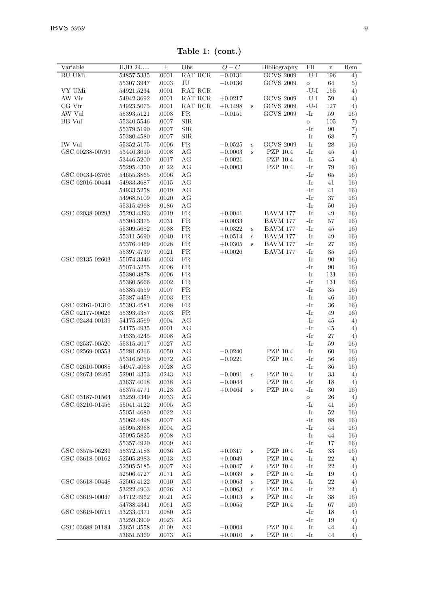Table 1: (cont.)

| Variable        | HJD 24                   | 士     | Obs            | $O-C$     |         | Bibliography     | Fil                                  | $\mathbf n$ | Rem |
|-----------------|--------------------------|-------|----------------|-----------|---------|------------------|--------------------------------------|-------------|-----|
| RU UMi          | 54857.5335               | .0001 | <b>RAT RCR</b> | $-0.0131$ |         | <b>GCVS 2009</b> | $-U-I$                               | 196         | 4)  |
|                 | 55307.3947               | .0003 | JU             | $-0.0136$ |         | <b>GCVS 2009</b> | $\circ$                              | 64          | 5)  |
| VY UMi          | 54921.5234               | .0001 | RAT RCR        |           |         |                  | $\mathbin{{\mathsf -U}{\mathsf -I}}$ | 165         | 4)  |
| AW Vir          | 54942.3692               | .0001 | RAT RCR        | $+0.0217$ |         | <b>GCVS 2009</b> | $-U-I$                               | 59          | 4)  |
| CG Vir          | 54923.5075               | .0001 | RAT RCR        | $+0.1498$ | S       | <b>GCVS 2009</b> | $-U-I$                               | 127         | 4)  |
| AW Vul          | 55393.5121               | .0003 | FR             | $-0.0151$ |         | <b>GCVS 2009</b> | -Ir                                  | 59          | 16) |
| <b>BB</b> Vul   | 55340.5546               | .0007 | <b>SIR</b>     |           |         |                  | $\circ$                              | 105         | 7)  |
|                 | 55379.5190               | .0007 | <b>SIR</b>     |           |         |                  | -Ir                                  | 90          | 7)  |
|                 | 55380.4580               | .0007 | <b>SIR</b>     |           |         |                  | -Ir                                  | 68          | 7)  |
| <b>IW Vul</b>   | 55352.5175               | .0006 | <b>FR</b>      | $-0.0525$ | S       | <b>GCVS 2009</b> | $-Ir$                                | 28          | 16) |
| GSC 00238-00793 | 53446.3610               | .0008 | $\rm{AG}$      | $-0.0003$ | S       | PZP 10.4         | -Ir                                  | 45          | 4)  |
|                 | 53446.5200               | .0017 | AG             | $-0.0021$ |         | PZP 10.4         | -Ir                                  | 45          | 4)  |
|                 | 55295.4350               | .0122 | AG             | $+0.0003$ |         | PZP 10.4         | -Ir                                  | 79          | 16) |
| GSC 00434-03766 | 54655.3865               | .0006 | AG             |           |         |                  | -Ir                                  | 65          | 16) |
| GSC 02016-00444 | 54933.3687               | .0015 | AG             |           |         |                  | -Ir                                  | 41          | 16) |
|                 | 54933.5258               | .0019 | AG             |           |         |                  | -Ir                                  | 41          | 16) |
|                 | 54968.5109               | .0020 | AG             |           |         |                  | -Ir                                  | 37          | 16) |
|                 | 55315.4968               | .0186 | AG             |           |         |                  | -Ir                                  | 50          | 16) |
| GSC 02038-00293 | 55293.4393               | .0019 | FR.            | $+0.0041$ |         | BAVM 177         | -Ir                                  | 49          | 16) |
|                 | 55304.3375               | .0031 | FR.            | $+0.0033$ |         | <b>BAVM 177</b>  | -Ir                                  | 57          | 16) |
|                 | 55309.5682               | .0038 | FR.            | $+0.0322$ | S       | <b>BAVM 177</b>  | -Ir                                  | 45          | 16) |
|                 |                          | .0040 | <b>FR</b>      |           |         | BAVM 177         | $-Ir$                                | 49          |     |
|                 | 55311.5690<br>55376.4469 | .0028 | FR.            | $+0.0514$ | S<br>S  | <b>BAVM 177</b>  | -Ir                                  | 27          | 16) |
|                 |                          |       |                | $+0.0305$ |         | <b>BAVM 177</b>  |                                      | 35          | 16) |
|                 | 55397.4739               | .0021 | FR.            | $+0.0026$ |         |                  | -Ir                                  |             | 16) |
| GSC 02135-02603 | 55074.3446               | .0003 | FR.            |           |         |                  | -Ir                                  | 90          | 16) |
|                 | 55074.5255               | .0006 | FR.            |           |         |                  | $-Ir$                                | 90          | 16) |
|                 | 55380.3878               | .0006 | FR             |           |         |                  | -Ir                                  | 131         | 16) |
|                 | 55380.5666               | .0002 | FR.            |           |         |                  | -Ir                                  | 131         | 16) |
|                 | 55385.4559               | .0007 | FR.            |           |         |                  | -Ir                                  | 35          | 16) |
|                 | 55387.4459               | .0003 | FR.            |           |         |                  | -Ir                                  | 46          | 16) |
| GSC 02161-01310 | 55393.4581               | .0008 | FR.            |           |         |                  | $-Ir$                                | 36          | 16) |
| GSC 02177-00626 | 55393.4387               | .0003 | FR.            |           |         |                  | $-Ir$                                | 49          | 16) |
| GSC 02484-00139 | 54175.3569               | .0004 | AG             |           |         |                  | -Ir                                  | 45          | 4)  |
|                 | 54175.4935               | .0001 | AG             |           |         |                  | $-Ir$                                | 45          | 4)  |
|                 | 54535.4245               | .0008 | AG             |           |         |                  | -Ir                                  | 27          | 4)  |
| GSC 02537-00520 | 55315.4017               | .0027 | AG             |           |         |                  | -Ir                                  | 59          | 16) |
| GSC 02569-00553 | 55281.6266               | .0050 | AG             | $-0.0240$ |         | PZP 10.4         | -Ir                                  | 60          | 16) |
|                 | 55316.5059               | .0072 | AG             | $-0.0221$ |         | PZP 10.4         | $-Ir$                                | 56          | 16) |
| GSC 02610-00088 | 54947.4063               | .0028 | AG             |           |         |                  | -Ir                                  | 36          | 16) |
| GSC 02673-02495 | 52901.4353               | .0243 | AG             | $-0.0091$ | Ś       | PZP 10.4         | -Ir                                  | 33          | 4)  |
|                 | 53637.4018               | .0038 | AG             | $-0.0044$ |         | PZP 10.4         | -Ir                                  | 18          | 4)  |
|                 | 55375.4771               | .0123 | AG             | $+0.0464$ | S       | PZP 10.4         | -Ir                                  | 30          | 16) |
| GSC 03187-01564 | 53259.4349               | .0033 | AG             |           |         |                  | $\rm _O$                             | 26          | 4)  |
| GSC 03210-01456 | 55041.4122               | .0005 | AG             |           |         |                  | -Ir                                  | 41          | 16) |
|                 | 55051.4680               | .0022 | AG             |           |         |                  | -Ir                                  | 52          | 16) |
|                 | 55062.4498               | .0007 | AG             |           |         |                  | -Ir                                  | 88          | 16) |
|                 | 55095.3968               | .0004 | AG             |           |         |                  | $-Ir$                                | 44          | 16) |
|                 | 55095.5825               | .0008 | AG             |           |         |                  | -Ir                                  | 44          | 16) |
|                 | 55357.4920               | .0009 | AG             |           |         |                  | -Ir                                  | 17          | 16) |
| GSC 03575-06239 | 55372.5183               | .0036 | AG             | $+0.0317$ | S       | PZP 10.4         | -Ir                                  | 33          | 16) |
| GSC 03618-00162 | 52505.3983               | .0013 | AG             | $+0.0049$ |         | PZP 10.4         | -Ir                                  | 22          | 4)  |
|                 | 52505.5185               | .0007 | AG             | $+0.0047$ | $\bf s$ | PZP 10.4         | -Ir                                  | 22          | 4)  |
|                 | 52506.4727               | .0171 | AG             | $-0.0039$ | S       | PZP 10.4         | -Ir                                  | 19          | 4)  |
| GSC 03618-00448 | 52505.4122               | .0010 | AG             | $+0.0063$ | S       | PZP 10.4         | -Ir                                  | 22          | 4)  |
|                 | 53222.4903               | .0026 | AG             | $-0.0063$ | S       | PZP 10.4         | $-Ir$                                | 22          | 4)  |
| GSC 03619-00047 | 54712.4962               | .0021 | AG             | $-0.0013$ | S       | PZP 10.4         | -Ir                                  | 38          | 16) |
|                 | 54738.4341               | .0061 | AG             | $-0.0055$ |         | PZP 10.4         | -Ir                                  | 67          | 16) |
| GSC 03619-00715 | 53233.4371               | .0080 | AG             |           |         |                  | -Ir                                  | 18          | 4)  |
|                 | 53259.3909               | .0023 | AG             |           |         |                  | -Ir                                  | 19          | 4)  |
| GSC 03688-01184 | 53651.3558               | .0109 | AG             | $-0.0004$ |         | PZP 10.4         | -Ir                                  | 44          | 4)  |
|                 | 53651.5369               | .0073 | AG             | $+0.0010$ | s       | PZP 10.4         | -Ir                                  | 44          | 4)  |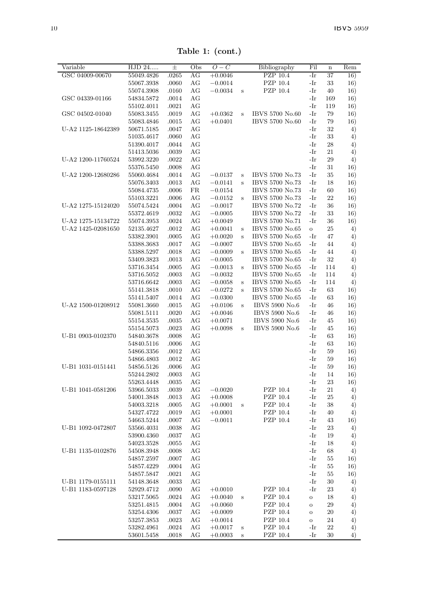Table 1: (cont.)

| Variable           | HJD 24                   | 士     | Obs | $O-C$       |              | Bibliography          | Fil          | $\mathbf n$ | Rem      |
|--------------------|--------------------------|-------|-----|-------------|--------------|-----------------------|--------------|-------------|----------|
| GSC 04009-00670    | 55049.4826               | .0265 | AG  | $+0.0046$   |              | <b>PZP</b> 10.4       | -Ir          | 37          | 16)      |
|                    | 55067.3938               | .0060 | AG  | $-0.0014$   |              | PZP 10.4              | -Ir          | 33          | 16)      |
|                    | 55074.3908               | .0160 | AG  | $-0.0034$   | $\bf S$      | PZP 10.4              | -Ir          | 40          | 16)      |
| GSC 04339-01166    | 54834.5872               | .0014 | AG  |             |              |                       | -Ir          | 169         | 16)      |
|                    | 55102.4011               | .0021 | AG  |             |              |                       | -Ir          | 119         | 16)      |
| GSC 04502-01040    | 55083.3455               | .0019 | AG  | $+0.0362$   | S            | IBVS 5700 No.60       | -Ir          | 79          | 16)      |
|                    | 55083.4846               | .0015 | AG  | $+0.0401$   |              | IBVS 5700 No.60       | -Ir          | 79          | 16)      |
| U-A2 1125-18642389 | 50671.5185               | .0047 | AG  |             |              |                       | $-Ir$        | 32          | 4)       |
|                    | 51035.4617               | .0060 | AG  |             |              |                       | $-Ir$        | 33          | 4)       |
|                    | 51390.4017               | .0044 | АG  |             |              |                       | -Ir          | 28          | 4)       |
|                    | 51413.5036               | .0039 | AG  |             |              |                       | -Ir          | 21          | 4)       |
| U-A2 1200-11760524 | 53992.3220               | .0022 | AG  |             |              |                       | -Ir          | 29          | 4)       |
|                    | 55376.5450               | .0008 | AG  |             |              |                       | -Ir          | 31          | 16)      |
| U-A2 1200-12680286 | 55060.4684               | .0014 | AG  | $-0.0137$   | S            | IBVS 5700 No.73       | -Ir          | 35          | 16)      |
|                    | 55076.3403               | .0013 | AG  | $-0.0141$   | S            | IBVS 5700 No.73       | -Ir          | 18          | 16)      |
|                    | 55084.4735               | .0006 | FR  | $-0.0154\,$ |              | IBVS 5700 No.73       | -Ir          | 60          | 16)      |
|                    | 55103.3221               | .0006 | AG  | $-0.0152$   | S            | IBVS 5700 No.73       | -Ir          | 22          | 16)      |
| U-A2 1275-15124020 | 55074.5424               | .0004 | AG  | $-0.0017$   |              | IBVS 5700 No.72       | -Ir          | 36          | 16)      |
|                    | 55372.4619               | .0032 | AG  | $-0.0005$   |              | IBVS 5700 No.72       | $-Ir$        | 33          | 16)      |
| U-A2 1275-15134722 | 55074.3953               | .0024 | AG  | $+0.0049$   |              | IBVS 5700 No.71       | -Ir          | 36          | 16)      |
| U-A2 1425-02081650 | 52135.4627               | .0012 | АG  | $+0.0041$   | $\bf S$      | IBVS 5700 No.65       | $\circ$      | 25          | 4)       |
|                    | 53382.3901               | .0005 | AG  | $+0.0020$   | $\mathbf{s}$ | IBVS 5700 No.65       | -Ir          | 47          | 4)       |
|                    | 53388.3683               | .0017 | AG  | $-0.0007$   |              | IBVS 5700 No.65       | -Ir          | 44          | 4)       |
|                    | 53388.5297               | .0018 | AG  | $-0.0009$   | $\mathbf{s}$ | IBVS 5700 No.65       | -Ir          | 44          | 4)       |
|                    | 53409.3823               | .0013 | AG  | $-0.0005$   |              | IBVS 5700 No.65       | -Ir          | 32          | 4)       |
|                    | 53716.3454               | .0005 | AG  | $-0.0013$   | S            | IBVS 5700 No.65       | -Ir          | 114         | 4)       |
|                    | 53716.5052               | .0003 | AG  | $-0.0032$   |              | IBVS 5700 No.65       | -Ir          | 114         | 4)       |
|                    | 53716.6642               | .0003 | AG  | $-0.0058$   | S            | IBVS 5700 No.65       | -Ir          | 114         | 4)       |
|                    | 55141.3818               | .0010 | AG  | $-0.0272$   | $\mathbf{s}$ | IBVS 5700 No.65       | -Ir          | 63          | 16)      |
|                    | 55141.5407               | .0014 | AG  | $-0.0300$   |              | IBVS 5700 No.65       | -Ir          | 63          | 16)      |
| U-A2 1500-01208912 | 55081.3660               | .0015 | AG  | $+0.0106$   | S            | IBVS 5900 No.6        | $-Ir$        | 46          | 16)      |
|                    | 55081.5111               | .0020 | AG  | $+0.0046$   |              | IBVS 5900 No.6        | -Ir          | 46          | 16)      |
|                    | 55154.3535               | .0035 | АG  | $+0.0071$   |              | IBVS 5900 No.6        | -Ir          | 45          | 16)      |
|                    | 55154.5073               | .0023 | AG  | $+0.0098$   | $\bf S$      | <b>IBVS 5900 No.6</b> | -Ir          | 45          | 16)      |
| U-B1 0903-0102370  | 54840.3678               | .0008 | AG  |             |              |                       | -Ir          | 63          | 16)      |
|                    | 54840.5116               | .0006 | AG  |             |              |                       | -Ir          | 63          | 16)      |
|                    | 54866.3356               | .0012 | AG  |             |              |                       | -Ir          | 59          | 16)      |
|                    | 54866.4803               | .0012 | AG  |             |              |                       | -Ir          | 59          | 16)      |
| U-B1 1031-0151441  | 54856.5126               | .0006 | AG  |             |              |                       | -Ir          | 59          | 16)      |
|                    | 55244.2802               | .0003 | AG  |             |              |                       | -Ir          | 14          | 16)      |
|                    | 55263.4448               | .0035 | AG  |             |              |                       | -Ir          | 23          | 16)      |
| U-B1 1041-0581206  | 53966.5033               | .0039 | AG  | $-0.0020$   |              | PZP 10.4              | -Ir          | 21          | 4)       |
|                    | 54001.3848               | .0013 | AG  | $+0.0008$   |              | PZP 10.4              | -Ir          | 25          | 4)       |
|                    | 54003.3218               | .0005 | АG  | $+0.0001$   | S            | PZP 10.4              | -Ir          | 38          | 4)       |
|                    | 54327.4722               | .0019 | AG  | $+0.0001$   |              | PZP 10.4              | -Ir          | 40          | 4)       |
|                    | 54663.5244               | .0007 | AG  | $-0.0011$   |              | PZP 10.4              | -Ir          | 43          |          |
| U-B1 1092-0472807  | 53566.4031               | .0038 | AG  |             |              |                       | -Ir          | 23          | 16)      |
|                    |                          | .0037 | AG  |             |              |                       | -Ir          | 19          | 4)       |
|                    | 53900.4360<br>54023.3528 | .0055 | AG  |             |              |                       | -Ir          | 18          | 4)<br>4) |
|                    |                          |       |     |             |              |                       | $-Ir$        | 68          |          |
| U-B1 1135-0102876  | 54508.3948               | .0008 | AG  |             |              |                       |              |             | 4)       |
|                    | 54857.2597               | .0007 | AG  |             |              |                       | -Ir<br>-Ir   | 55          | 16)      |
|                    | 54857.4229               | .0004 | AG  |             |              |                       |              | 55          | 16)      |
|                    | 54857.5847               | .0021 | AG  |             |              |                       | -Ir          | 55          | 16)      |
| U-B1 1179-0155111  | 54148.3648               | .0033 | AG  |             |              |                       | $-Ir$        | 30          | 4)       |
| U-B1 1183-0597128  | 52929.4712               | .0090 | AG  | $+0.0010$   |              | PZP 10.4              | -Ir          | 23          | 4)       |
|                    | 53217.5065               | .0024 | АG  | $+0.0040$   | S            | PZP 10.4              | $\circ$      | 18          | 4)       |
|                    | 53251.4815               | .0004 | AG  | $+0.0060$   |              | PZP 10.4              | $\mathbf{o}$ | 29          | 4)       |
|                    | 53254.4306               | .0037 | AG  | $+0.0009$   |              | PZP 10.4              | $\mathbf{o}$ | 20          | 4)       |
|                    | 53257.3853               | .0023 | AG  | $+0.0014$   |              | PZP 10.4              | $\circ$      | 24          | 4)       |
|                    | 53282.4961               | .0024 | AG  | $+0.0017$   | $\bf s$      | PZP 10.4              | -Ir          | 22          | 4)       |
|                    | 53601.5458               | .0018 | AG  | $+0.0003$   | $\bf S$      | PZP 10.4              | -Ir          | 30          | 4)       |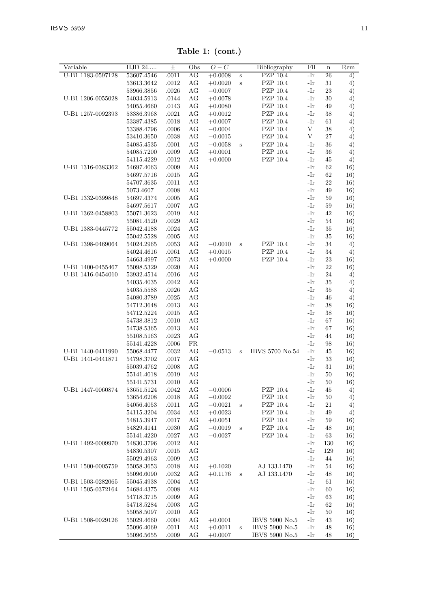| Variable                                                                         | HJD 24                   | 士              | Obs      | $O-C$     |         | Bibliography    | Fil   | $\bf n$ | Rem        |
|----------------------------------------------------------------------------------|--------------------------|----------------|----------|-----------|---------|-----------------|-------|---------|------------|
| U-B1 1183-0597128                                                                | 53607.4546               | .0011          | АG       | $+0.0008$ | S       | PZP 10.4        | -Ir   | 26      | $^{4)}$    |
|                                                                                  | 53613.3642               | .0012          | AG       | $+0.0020$ | $\rm s$ | PZP 10.4        | -Ir   | 31      | 4)         |
|                                                                                  | 53966.3856               | .0026          | AG       | $-0.0007$ |         | PZP 10.4        | -Ir   | 23      | 4)         |
| U-B1 1206-0055028                                                                | 54034.5913               | .0144          | AG       | $+0.0078$ |         | PZP 10.4        | -Ir   | 30      | 4)         |
|                                                                                  | 54055.4660               | .0143          | AG       | $+0.0080$ |         | PZP 10.4        | -Ir   | 49      | 4)         |
| U-B1 1257-0092393                                                                | 53386.3968               | .0021          | AG       | $+0.0012$ |         | PZP 10.4        | -Ir   | 38      | 4)         |
|                                                                                  | 53387.4385               | .0018          | AG       | $+0.0007$ |         | PZP 10.4        | -Ir   | 61      | $^{4)}$    |
|                                                                                  | 53388.4796               | $.0006$        | AG       | $-0.0004$ |         | PZP 10.4        | V     | 38      | 4)         |
|                                                                                  | 53410.3650               | .0038          | AG       | $-0.0015$ |         | PZP 10.4        | V     | 27      | 4)         |
|                                                                                  | 54085.4535               | .0001          | AG       | $-0.0058$ | S       | PZP 10.4        | -Ir   | 36      | 4)         |
|                                                                                  | 54085.7200               | .0009          | AG       | $+0.0001$ |         | PZP 10.4        | -Ir   | 36      | 4)         |
|                                                                                  | 54115.4229               | .0012          | AG       | $+0.0000$ |         | PZP 10.4        | -Ir   | 45      | 4)         |
| U-B1 1316-0383362                                                                | 54697.4063               | .0009          | AG       |           |         |                 | -Ir   | 62      | 16)        |
|                                                                                  | 54697.5716               | .0015          | AG       |           |         |                 | -Ir   | 62      | 16)        |
|                                                                                  | 54707.3635               | .0011          | AG       |           |         |                 | -Ir   | 22      | 16)        |
|                                                                                  | 5073.4607                | .0008          | AG       |           |         |                 | -Ir   | 49      | 16)        |
| U-B1 1332-0399848                                                                | 54697.4374               | .0005          | AG       |           |         |                 | -Ir   | 59      | 16)        |
|                                                                                  | 54697.5617               | .0007          | AG       |           |         |                 | -Ir   | 59      | 16)        |
| U-B1 1362-0458803                                                                | 55071.3623               | .0019          | AG       |           |         |                 | -Ir   | 42      | 16)        |
|                                                                                  | 55081.4520               | $.0029\,$      | AG       |           |         |                 | $-Ir$ | 54      | 16)        |
| U-B1 1383-0445772                                                                | 55042.4188               | .0024          | AG       |           |         |                 | -Ir   | 35      | 16)        |
|                                                                                  | 55042.5528               | .0005          | AG       |           |         |                 | -Ir   | 35      | 16)        |
| U-B1 1398-0469064                                                                | 54024.2965               | .0053          | AG       | $-0.0010$ | S       | PZP 10.4        | -Ir   | 34      | 4)         |
|                                                                                  | 54024.4616               | .0061          | AG       | $+0.0015$ |         | PZP 10.4        | -Ir   | 34      | 4)         |
|                                                                                  | 54663.4997               | .0073          | AG       | $+0.0000$ |         | PZP 10.4        | -Ir   | 23      | 16)        |
| U-B1 1400-0455467                                                                | 55098.5329               | .0020          | AG       |           |         |                 | -Ir   | 22      | 16)        |
| U-B1 1416-0454010                                                                | 53932.4514               | .0016          | AG       |           |         |                 | -Ir   | 24      | 4)         |
|                                                                                  | 54035.4035               | .0042          | AG       |           |         |                 | -Ir   | 35      | 4)         |
|                                                                                  | 54035.5588               | .0026          | AG       |           |         |                 | -Ir   | 35      | 4)         |
|                                                                                  | 54080.3789               | .0025          | AG       |           |         |                 | $-Ir$ | 46      | 4)         |
|                                                                                  | 54712.3648               | .0013          | AG       |           |         |                 | -Ir   | 38      | 16)        |
|                                                                                  | 54712.5224               | .0015          | AG       |           |         |                 | -Ir   | 38      | 16)        |
|                                                                                  | 54738.3812               | .0010          | AG       |           |         |                 | -Ir   | 67      | 16)        |
|                                                                                  | 54738.5365               | .0013          | AG       |           |         |                 | -Ir   | 67      | 16)        |
|                                                                                  | 55108.5163               | .0023          | AG       |           |         |                 | -Ir   | 44      | 16)        |
|                                                                                  | 55141.4228               | .0006          | FR       |           |         |                 | -Ir   | 98      | 16)        |
| U-B1 1440-0411990                                                                | 55068.4477               | .0032          | AG       | $-0.0513$ | $\rm s$ | IBVS 5700 No.54 | -Ir   | 45      | 16)        |
| U-B1 1441-0441871                                                                | 54798.3702               | .0017          | AG       |           |         |                 | -Ir   | 33      | 16)        |
|                                                                                  | 55039.4762               | .0008          | AG       |           |         |                 | -Ir   | 31      | 16)        |
|                                                                                  | 55141.4018               | .0019          | AG       |           |         |                 | -Ir   | 50      | 16)        |
|                                                                                  | 55141.5731               | .0010          | AG       |           |         |                 | -Ir   | 50      | 16)        |
| U-B1 1447-0060874                                                                | 53651.5124               | $.0042\,$      | AG       | $-0.0006$ |         | PZP 10.4        | -Ir   | 45      | 4)         |
|                                                                                  | 53654.6208               | .0018          | AG       | $-0.0092$ |         | PZP 10.4        | $-Ir$ | 50      | 4)         |
|                                                                                  | 54056.4053               | .0011          | AG       | $-0.0021$ | $\,$ s  | PZP 10.4        | -Ir   | 21      | 4)         |
|                                                                                  | 54115.3204               | .0034          | AG       | $+0.0023$ |         | PZP 10.4        | -Ir   | 49      | 4)         |
|                                                                                  | 54815.3947               | .0017          | AG       | $+0.0051$ |         | PZP 10.4        | -Ir   | 59      | 16)        |
|                                                                                  | 54829.4141               | .0030          | AG       | $-0.0019$ | $\rm s$ | PZP 10.4        | -Ir   | 48      | 16)        |
|                                                                                  | 55141.4220               | .0027          | AG       | $-0.0027$ |         | PZP 10.4        | -Ir   | 63      | 16)        |
| U-B1 1492-0009970                                                                | 54830.3796               | .0012          | AG       |           |         |                 | -Ir   | 130     | 16)        |
|                                                                                  |                          | .0015          | AG       |           |         |                 | -Ir   | 129     | 16)        |
|                                                                                  | 54830.5307               |                |          |           |         |                 |       |         | 16)        |
|                                                                                  | 55029.4963               | .0009          | AG       |           |         |                 | -Ir   | 44      |            |
|                                                                                  | 55058.3653               | .0018          | AG       | $+0.1020$ |         | AJ 133.1470     | -Ir   | 54      | 16)        |
|                                                                                  | 55096.6090               | $.0032\,$      | AG       | $+0.1176$ | S       | AJ 133.1470     | -Ir   | 48      | 16)        |
|                                                                                  | 55045.4938               | .0004          | AG       |           |         |                 | -Ir   | 61      | 16)        |
|                                                                                  | 54684.4375               | .0008          | AG       |           |         |                 | -Ir   | 60      | 16)        |
|                                                                                  | 54718.3715               | .0009          | AG       |           |         |                 | -Ir   | 63      | 16)        |
|                                                                                  | 54718.5284               | .0003          | AG       |           |         |                 | -Ir   | 62      |            |
|                                                                                  |                          |                |          |           |         |                 | -Ir   | 50      | 16)        |
| U-B1 1500-0005759<br>U-B1 1503-0282065<br>U-B1 1505-0372164<br>U-B1 1508-0029126 | 55058.5097<br>55029.4660 | .0010<br>.0004 | AG<br>AG | $+0.0001$ |         | IBVS 5900 No.5  | -Ir   | 43      | 16)<br>16) |
|                                                                                  | 55096.4069               | .0011          | AG       | $+0.0011$ | $\rm s$ | IBVS 5900 No.5  | -Ir   | 48      | 16)        |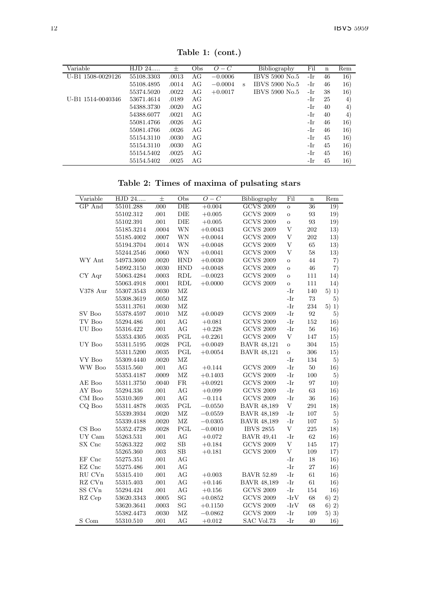| Variable          | HJD 24     | 士     | Obs | $O-C$     |   | Bibliography   | Fil | n  | Rem    |
|-------------------|------------|-------|-----|-----------|---|----------------|-----|----|--------|
| U-B1 1508-0029126 | 55108.3303 | .0013 | AG  | $-0.0006$ |   | IBVS 5900 No.5 | -Ir | 46 | 16)    |
|                   | 55108.4895 | .0014 | AG  | $-0.0004$ | s | IBVS 5900 No.5 | -Ir | 46 | 16)    |
|                   | 55374.5020 | .0022 | AG  | $+0.0017$ |   | IBVS 5900 No.5 | -Ir | 38 | 16)    |
| U-B1 1514-0040346 | 53671.4614 | .0189 | AG  |           |   |                | -Ir | 25 | 4)     |
|                   | 54388.3730 | .0020 | AG  |           |   |                | -Ir | 40 | 4)     |
|                   | 54388.6077 | .0021 | AG  |           |   |                | -Ir | 40 | $^{4}$ |
|                   | 55081.4766 | .0026 | AG  |           |   |                | -Ir | 46 | 16)    |
|                   | 55081.4766 | .0026 | AG  |           |   |                | -Ir | 46 | 16)    |
|                   | 55154.3110 | .0030 | AG  |           |   |                | -Ir | 45 | 16)    |
|                   | 55154.3110 | .0030 | AG  |           |   |                | -Ir | 45 | 16)    |
|                   | 55154.5402 | .0025 | AG  |           |   |                | -Ir | 45 | 16)    |
|                   | 55154.5402 | .0025 | AG  |           |   |                | -Ir | 45 | 16)    |

Table 1: (cont.)

Table 2: Times of maxima of pulsating stars

| Variable      | HJD 24     | $\pm$    | Obs             | $O-C$     | Bibliography       | Fil          | $\mathbf n$ | Rem   |
|---------------|------------|----------|-----------------|-----------|--------------------|--------------|-------------|-------|
| GP And        | 55101.288  | .000     | DIE             | $+0.004$  | <b>GCVS 2009</b>   | $\circ$      | 36          | 19)   |
|               | 55102.312  | .001     | DIE             | $+0.005$  | <b>GCVS 2009</b>   | $\circ$      | 93          | 19)   |
|               | 55102.391  | .001     | DIE             | $+0.005$  | <b>GCVS 2009</b>   | $\circ$      | 93          | 19)   |
|               | 55185.3214 | .0004    | WN              | $+0.0043$ | <b>GCVS 2009</b>   | $\mathbf{V}$ | 202         | 13)   |
|               | 55185.4002 | .0007    | WN              | $+0.0044$ | <b>GCVS 2009</b>   | $\mathbf V$  | 202         | 13)   |
|               | 55194.3704 | .0014    | WN              | $+0.0048$ | <b>GCVS 2009</b>   | V            | 65          | 13)   |
|               | 55244.2546 | .0060    | WN              | $+0.0041$ | <b>GCVS 2009</b>   | $\mathbf V$  | 58          | 13)   |
| WY Ant        | 54973.3600 | .0020    | <b>HND</b>      | $+0.0030$ | <b>GCVS 2009</b>   | $\mathbf{o}$ | 44          | 7)    |
|               | 54992.3150 | .0030    | <b>HND</b>      | $+0.0048$ | <b>GCVS 2009</b>   | $\circ$      | 46          | 7)    |
| CY Aqr        | 55063.4284 | .0003    | RDL             | $-0.0023$ | <b>GCVS 2009</b>   | $\circ$      | 111         | 14)   |
|               | 55063.4918 | .0001    | RDL             | $+0.0000$ | <b>GCVS 2009</b>   | $\circ$      | 111         | 14)   |
| V378 Aur      | 55307.3543 | .0030    | MZ              |           |                    | -Ir          | 140         | 5) 1) |
|               | 55308.3619 | .0050    | MZ              |           |                    | -Ir          | 73          | 5)    |
|               | 55311.3761 | .0030    | MZ              |           |                    | -Ir          | 234         | 5) 1) |
| SV Boo        | 55378.4597 | .0010    | MZ              | $+0.0049$ | <b>GCVS 2009</b>   | -Ir          | 92          | 5)    |
| TV Boo        | 55294.486  | .001     | AG              | $+0.081$  | <b>GCVS 2009</b>   | -Ir          | 152         | 16)   |
| UU Boo        | 55316.422  | .001     | AG              | $+0.228$  | $\rm GCVS$ 2009    | -Ir          | 56          | 16)   |
|               | 55353.4305 | .0035    | PGL             | $+0.2261$ | <b>GCVS 2009</b>   | $\mathbf{V}$ | 147         | 15)   |
| UY Boo        | 55311.5195 | .0028    | $_{\rm PGL}$    | $+0.0049$ | <b>BAVR 48,121</b> | $\mathbf{o}$ | 304         | 15)   |
|               | 55311.5200 | .0035    | PGL             | $+0.0054$ | <b>BAVR 48,121</b> | $\circ$      | 306         | 15)   |
| VY Boo        | 55309.4440 | .0020    | MZ              |           |                    | -Ir          | 134         | 5)    |
| WW Boo        | 55315.560  | $.001\,$ | AG              | $+0.144$  | <b>GCVS 2009</b>   | -Ir          | 50          | 16)   |
|               | 55353.4187 | .0009    | MZ              | $+0.1403$ | <b>GCVS 2009</b>   | -Ir          | 100         | 5)    |
| AE Boo        | 55311.3750 | .0040    | ${\rm FR}$      | $+0.0921$ | <b>GCVS 2009</b>   | -Ir          | 97          | 10)   |
| AY Boo        | 55294.336  | .001     | AG              | $+0.099$  | <b>GCVS 2009</b>   | -Ir          | 63          | 16)   |
| CM Boo        | 55310.369  | .001     | AG              | $-0.114$  | <b>GCVS 2009</b>   | -Ir          | 36          | 16)   |
| CQ Boo        | 55311.4878 | .0035    | PGL             | $-0.0550$ | <b>BAVR 48,189</b> | V            | 291         | 18)   |
|               | 55339.3934 | .0020    | MZ              | $-0.0559$ | <b>BAVR 48,189</b> | -Ir          | 107         | 5)    |
|               | 55339.4188 | .0020    | MZ              | $-0.0305$ | <b>BAVR 48,189</b> | -Ir          | 107         | 5)    |
| CS Boo        | 55352.4728 | .0028    | PGL             | $-0.0010$ | <b>IBVS 2855</b>   | V            | 225         | 18)   |
| UY Cam        | 55263.531  | .001     | AG              | $+0.072$  | <b>BAVR 49.41</b>  | -Ir          | 62          | 16)   |
| SX Cnc        | 55263.322  | .002     | SB              | $+0.184$  | <b>GCVS 2009</b>   | V            | 145         | 17)   |
|               | 55265.360  | .003     | SB              | $+0.181$  | <b>GCVS 2009</b>   | V            | 109         | 17)   |
| EF Cnc        | 55275.351  | .001     | AG              |           |                    | -Ir          | 18          | 16)   |
| EZ Cnc        | 55275.486  | .001     | AG              |           |                    | -Ir          | 27          | 16)   |
| RU CVn        | 55315.410  | .001     | AG              | $+0.003$  | <b>BAVR 52.89</b>  | -Ir          | 61          | 16)   |
| RZ CVn        | 55315.403  | .001     | AG              | $+0.146$  | <b>BAVR 48,189</b> | -Ir          | 61          | 16)   |
| SS CVn        | 55294.424  | .001     | AG              | $+0.156$  | <b>GCVS 2009</b>   | -Ir          | 154         | 16)   |
| RZ Cep        | 53620.3343 | .0005    | SG              | $+0.0852$ | <b>GCVS 2009</b>   | $-IrV$       | 68          | 6) 2) |
|               | 53620.3641 | .0003    | SG              | $+0.1150$ | <b>GCVS 2009</b>   | $-IrV$       | 68          | 6) 2) |
|               | 55382.4473 | .0030    | MZ              | $-0.0862$ | <b>GCVS 2009</b>   | -Ir          | 109         | 5) 3) |
| $S_{\rm Com}$ | 55310.510  | 001      | AC <sub>2</sub> | $+0.012$  | <b>SAC Vol 73</b>  | $-Ir$        | 40          | 16)   |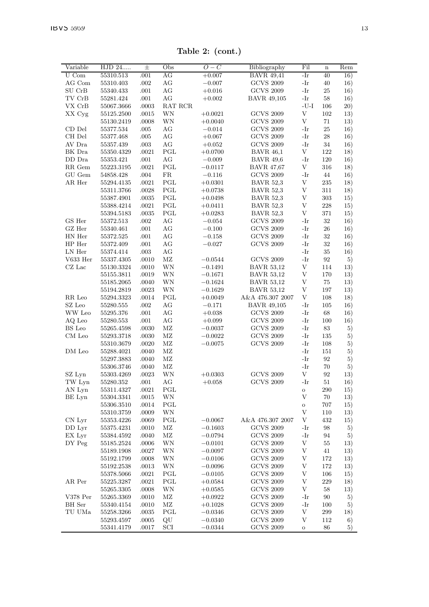Table 2: (cont.)

| Variable                                        | HJD 24     | $_{\pm}$ | Obs          | $O-C$     | Bibliography       | Fil          | $\mathbf n$ | Rem |
|-------------------------------------------------|------------|----------|--------------|-----------|--------------------|--------------|-------------|-----|
| $U$ Com                                         | 55310.513  | .001     | AG           | $+0.007$  | <b>BAVR 49,41</b>  | -Ir          | 40          | 16) |
| AG Com                                          | 55310.403  | .002     | AG           | $-0.007$  | <b>GCVS 2009</b>   | -Ir          | 40          | 16) |
| SU CrB                                          | 55340.433  | .001     | AG           | $+0.016$  | <b>GCVS 2009</b>   | -Ir          | 25          | 16) |
| TV CrB                                          | 55281.424  | .001     | AG           | $+0.002$  | <b>BAVR 49,105</b> | -Ir          | 58          | 16) |
| VX CrB                                          | 55067.3666 | .0003    | RAT RCR      |           |                    | $-U-I$       | 106         | 20) |
| XX Cyg                                          | 55125.2500 | .0015    | WN           | $+0.0021$ | <b>GCVS 2009</b>   | V            | 102         | 13) |
|                                                 | 55130.2419 | .0008    | WN           | $+0.0040$ | <b>GCVS 2009</b>   | V            | 71          | 13) |
| CD Del                                          | 55377.534  | .005     | AG           | $-0.014$  | <b>GCVS 2009</b>   | -Ir          | 25          | 16) |
| CH Del                                          | 55377.468  | .005     | AG           | $+0.067$  | <b>GCVS 2009</b>   | -Ir          | 28          | 16) |
| AV Dra                                          | 55357.439  | .003     | AG           | $+0.052$  | <b>GCVS 2009</b>   | -Ir          | 34          | 16) |
| BK Dra                                          | 55350.4329 | .0021    | PGL          | $+0.0700$ | <b>BAVR 46,1</b>   | V            | 122         | 18) |
| DD Dra                                          | 55353.421  | .001     | AG           | $-0.009$  | <b>BAVR 49,6</b>   | -Ir          | 120         | 16) |
| RR Gem                                          | 55223.3195 | .0021    | PGL          | $-0.0117$ | <b>BAVR 47,67</b>  | V            | 316         | 18) |
| GU Gem                                          | 54858.428  | .004     | FR           | $-0.116$  | <b>GCVS 2009</b>   | -Ir          | 44          | 16) |
| AR Her                                          | 55294.4135 | .0021    | PGL          | $+0.0301$ | <b>BAVR 52,3</b>   | V            | 235         | 18) |
|                                                 | 55311.3766 | .0028    | PGL          | $+0.0738$ | <b>BAVR 52,3</b>   | V            | 311         | 18) |
|                                                 | 55387.4901 | .0035    | PGL          | $+0.0498$ | <b>BAVR 52,3</b>   | V            | 303         | 15) |
|                                                 | 55388.4214 | .0021    | PGL          | $+0.0411$ | <b>BAVR 52,3</b>   | V            | 228         | 15) |
|                                                 | 55394.5183 | .0035    | PGL          | $+0.0283$ | <b>BAVR 52.3</b>   | $\mathbf{V}$ | 371         | 15) |
| GS Her                                          | 55372.513  | .002     | AG           | $-0.054$  | <b>GCVS 2009</b>   | -Ir          | 32          | 16) |
| GZ Her                                          | 55340.461  | .001     | AG           | $-0.100$  | <b>GCVS 2009</b>   | -Ir          | 26          | 16) |
| HN Her                                          | 55372.525  | .001     | AG           | $-0.158$  | <b>GCVS 2009</b>   | $-Ir$        | 32          | 16) |
| HP Her                                          | 55372.409  | .001     | AG           | $-0.027$  | <b>GCVS 2009</b>   | -Ir          | 32          | 16) |
| LN Her                                          | 55374.414  | .003     | AG           |           |                    | -Ir          | 35          | 16) |
| V633 Her                                        | 55337.4305 | .0010    | MZ           | $-0.0544$ | <b>GCVS 2009</b>   | -Ir          | 92          | 5)  |
| CZ Lac                                          | 55130.3324 | .0010    | WN           | $-0.1491$ | <b>BAVR 53,12</b>  | V            | 114         | 13) |
|                                                 | 55155.3811 | .0019    | WN           | $-0.1671$ | <b>BAVR 53,12</b>  | V            | 170         | 13) |
|                                                 | 55185.2065 |          | WN           |           | <b>BAVR 53,12</b>  | V            | 75          |     |
|                                                 |            | .0040    |              | $-0.1624$ |                    | V            | 197         | 13) |
|                                                 | 55194.2819 | .0023    | WN           | $-0.1629$ | <b>BAVR 53,12</b>  | V            |             | 13) |
| RR Leo<br>SZ Leo                                | 55294.3323 | .0014    | PGL<br>AG    | $+0.0049$ | A&A 476.307 2007   |              | 108         | 18) |
|                                                 | 55280.555  | .002     |              | $-0.171$  | <b>BAVR 49,105</b> | -Ir<br>-Ir   | 105         | 16) |
| WW Leo                                          | 55295.376  | .001     | AG<br>AG     | $+0.038$  | <b>GCVS 2009</b>   | -Ir          | 68<br>100   | 16) |
| AQ Leo                                          | 55280.553  | .001     |              | $+0.099$  | <b>GCVS 2009</b>   |              |             | 16) |
| BS Leo                                          | 55265.4598 | .0030    | MZ           | $-0.0037$ | <b>GCVS 2009</b>   | -Ir          | 83          | 5)  |
| CM Leo                                          | 55293.3718 | .0030    | ΜZ           | $-0.0022$ | <b>GCVS 2009</b>   | -Ir          | 135         | 5)  |
|                                                 | 55310.3679 | .0020    | MZ           | $-0.0075$ | <b>GCVS 2009</b>   | -Ir          | 108         | 5)  |
| DM Leo                                          | 55288.4021 | .0040    | MZ           |           |                    | -Ir          | 151         | 5)  |
|                                                 | 55297.3883 | .0040    | MZ           |           |                    | $-Ir$        | 92          | 5)  |
|                                                 | 55306.3746 | .0040    | MZ           |           |                    | -Ir          | 70          | 5)  |
| SZ Lyn                                          | 55303.4269 | .0023    | WN           | $+0.0303$ | <b>GCVS 2009</b>   | V            | 92          | 13) |
| TW Lyn                                          | 55280.352  | .001     | AG           | $+0.058$  | <b>GCVS 2009</b>   | -Ir          | 51          | 16) |
| AN Lyn                                          | 55311.4327 | .0021    | PGL          |           |                    | $\circ$      | 290         | 15) |
| BE Lyn                                          | 55304.3341 | .0015    | WN           |           |                    | V            | 70          | 13) |
|                                                 | 55306.3510 | .0014    | PGL          |           |                    | $\circ$      | 707         | 15) |
|                                                 | 55310.3759 | .0009    | WN           |           |                    | V            | 110         | 13) |
| CN Lyr                                          | 55353.4226 | .0069    | PGL          | $-0.0067$ | A&A 476.307 2007   | V            | 432         | 15) |
| DD Lyr                                          | 55375.4231 | .0010    | MZ           | $-0.1603$ | <b>GCVS 2009</b>   | -Ir          | 98          | 5)  |
| EX Lyr                                          | 55384.4592 | .0040    | MZ           | $-0.0794$ | <b>GCVS 2009</b>   | -Ir          | 94          | 5)  |
| DY Peg                                          | 55185.2524 | .0006    | WN           | $-0.0101$ | <b>GCVS 2009</b>   | V            | 55          | 13) |
|                                                 | 55189.1908 | .0027    | WN           | $-0.0097$ | <b>GCVS 2009</b>   | V            | 41          | 13) |
|                                                 | 55192.1799 | .0008    | WN           | $-0.0106$ | <b>GCVS 2009</b>   | V            | 172         | 13) |
|                                                 | 55192.2538 | .0013    | WN           | $-0.0096$ | <b>GCVS 2009</b>   | V            | 172         | 13) |
|                                                 | 55378.5066 | .0021    | PGL          | $-0.0105$ | <b>GCVS 2009</b>   | V            | 106         | 15) |
|                                                 | 55225.3287 | .0021    | PGL          | $+0.0584$ | <b>GCVS 2009</b>   | V            | 229         | 18) |
|                                                 |            |          |              |           | <b>GCVS 2009</b>   | V            | 58          | 13) |
|                                                 | 55265.3305 | .0008    | WN           | $+0.0585$ |                    |              |             |     |
|                                                 | 55265.3369 | .0010    | MZ           | $+0.0922$ | <b>GCVS 2009</b>   | -Ir          | 90          | 5)  |
|                                                 | 55340.4154 | .0010    | MZ           | $+0.1028$ | <b>GCVS 2009</b>   | -Ir          | 100         | 5)  |
|                                                 | 55258.3266 | .0035    | $_{\rm PGL}$ | $-0.0346$ | <b>GCVS 2009</b>   | V            | 299         | 18) |
| AR Per<br>$V378$ Per<br><b>BH</b> Ser<br>TU UMa | 55293.4597 | .0005    | QU           | $-0.0340$ | <b>GCVS 2009</b>   | V            | 112         | 6)  |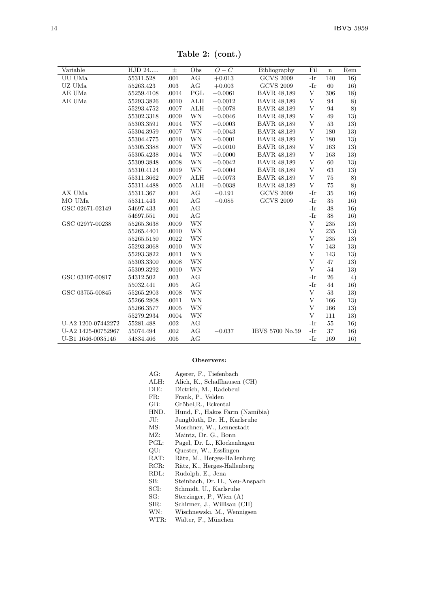| Variable           | HJD 24     | $\pm$ | $\overline{Obs}$ | $O-C$     | Bibliography       | Fil   | $\mathbf n$ | Rem |
|--------------------|------------|-------|------------------|-----------|--------------------|-------|-------------|-----|
| UU UMa             | 55311.528  | .001  | AG               | $+0.013$  | <b>GCVS 2009</b>   | $-Ir$ | 140         | 16) |
| UZ UMa             | 55263.423  | .003  | AG               | $+0.003$  | <b>GCVS 2009</b>   | -Ir   | 60          | 16) |
| AE UMa             | 55259.4108 | .0014 | PGL              | $+0.0061$ | <b>BAVR 48.189</b> | V     | 306         | 18) |
| AE UMa             | 55293.3826 | .0010 | ALH              | $+0.0012$ | <b>BAVR 48.189</b> | V     | 94          | 8)  |
|                    | 55293.4752 | .0007 | ALH              | $+0.0078$ | <b>BAVR 48,189</b> | V     | 94          | 8)  |
|                    | 55302.3318 | .0009 | <b>WN</b>        | $+0.0046$ | <b>BAVR 48.189</b> | V     | 49          | 13) |
|                    | 55303.3591 | .0014 | WN               | $-0.0003$ | <b>BAVR 48.189</b> | V     | 53          | 13) |
|                    | 55304.3959 | .0007 | WN               | $+0.0043$ | <b>BAVR 48.189</b> | V     | 180         | 13) |
|                    | 55304.4775 | .0010 | WN               | $-0.0001$ | <b>BAVR 48,189</b> | V     | 180         | 13) |
|                    | 55305.3388 | .0007 | WN               | $+0.0010$ | <b>BAVR 48.189</b> | V     | 163         | 13) |
|                    | 55305.4238 | .0014 | WN               | $+0.0000$ | <b>BAVR 48.189</b> | V     | 163         | 13) |
|                    | 55309.3848 | .0008 | WN               | $+0.0042$ | <b>BAVR 48.189</b> | V     | 60          | 13) |
|                    | 55310.4124 | .0019 | <b>WN</b>        | $-0.0004$ | <b>BAVR 48,189</b> | V     | 63          | 13) |
|                    | 55311.3662 | .0007 | ALH              | $+0.0073$ | <b>BAVR 48,189</b> | V     | 75          | 8)  |
|                    | 55311.4488 | .0005 | ALH              | $+0.0038$ | <b>BAVR 48.189</b> | V     | 75          | 8)  |
| AX UMa             | 55311.367  | .001  | AG               | $-0.191$  | <b>GCVS 2009</b>   | -Ir   | 35          | 16) |
| MO UMa             | 55311.443  | .001  | AG               | $-0.085$  | <b>GCVS 2009</b>   | $-Ir$ | 35          | 16) |
| GSC 02671-02149    | 54697.433  | .001  | AG               |           |                    | -Ir   | 38          | 16) |
|                    | 54697.551  | .001  | AG               |           |                    | $-Ir$ | 38          | 16) |
| GSC 02977-00238    | 55265.3638 | .0009 | WN               |           |                    | V     | 235         | 13) |
|                    | 55265.4401 | .0010 | WN               |           |                    | V     | 235         | 13) |
|                    | 55265.5150 | .0022 | WN               |           |                    | V     | 235         | 13) |
|                    | 55293.3068 | .0010 | WN               |           |                    | V     | 143         | 13) |
|                    | 55293.3822 | .0011 | WN               |           |                    | V     | 143         | 13) |
|                    | 55303.3300 | .0008 | WN               |           |                    | V     | 47          | 13) |
|                    | 55309.3292 | .0010 | WN               |           |                    | V     | 54          | 13) |
| GSC 03197-00817    | 54312.502  | .003  | AG               |           |                    | -Ir   | 26          | 4)  |
|                    | 55032.441  | .005  | AG               |           |                    | -Ir   | 44          | 16) |
| GSC 03755-00845    | 55265.2903 | .0008 | WN               |           |                    | V     | 53          | 13) |
|                    | 55266.2808 | .0011 | WN               |           |                    | V     | 166         | 13) |
|                    | 55266.3577 | .0005 | WN               |           |                    | V     | 166         | 13) |
|                    | 55279.2934 | .0004 | WN               |           |                    | V     | 111         | 13) |
| U-A2 1200-07442272 | 55281.488  | .002  | AG               |           |                    | -Ir   | 55          | 16) |
| U-A2 1425-00752967 | 55074.494  | .002  | AG               | $-0.037$  | IBVS 5700 No.59    | $-Ir$ | 37          | 16) |
| U-B1 1646-0035146  | 54834.466  | .005  | AG               |           |                    | $-Ir$ | 169         | 16) |

Table 2: (cont.)

#### Observers:

| AG:  | Agerer, F., Tiefenbach         |
|------|--------------------------------|
| ALH: | Alich, K., Schaffhausen (CH)   |
| DIE: | Dietrich, M., Radebeul         |
| FR:  | Frank, P., Velden              |
| GB:  | Gröbel, R., Eckental           |
| HND. | Hund, F., Hakos Farm (Namibia) |
| JU:  | Jungbluth, Dr. H., Karlsruhe   |
| MS:  | Moschner, W., Lennestadt       |
| MZ:  | Maintz, Dr. G., Bonn           |
| PGL: | Pagel, Dr. L., Klockenhagen    |
| QU:  | Quester, W., Esslingen         |
| RAT: | Rätz, M., Herges-Hallenberg    |
| RCR: | Rätz, K., Herges-Hallenberg    |
| RDL: | Rudolph, E., Jena              |
| SB:  | Steinbach, Dr. H., Neu-Anspach |
| SCI: | Schmidt, U., Karlsruhe         |
| SG:  | Sterzinger, P., Wien (A)       |
| SIR: | Schirmer, J., Willisau (CH)    |
| WN:  | Wischnewski, M., Wennigsen     |
| WTR: | Walter, F., München            |
|      |                                |